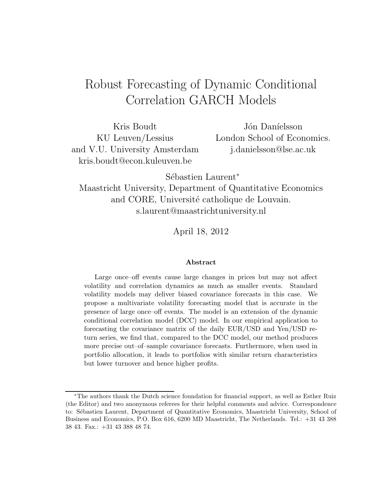## Robust Forecasting of Dynamic Conditional Correlation GARCH Models

Kris Boudt KU Leuven/Lessius and V.U. University Amsterdam kris.boudt@econ.kuleuven.be

Jón Daníelsson London School of Economics. j.danielsson@lse.ac.uk

Sébastien Laurent<sup>∗</sup>

Maastricht University, Department of Quantitative Economics and CORE, Université catholique de Louvain. s.laurent@maastrichtuniversity.nl

April 18, 2012

#### Abstract

Large once–off events cause large changes in prices but may not affect volatility and correlation dynamics as much as smaller events. Standard volatility models may deliver biased covariance forecasts in this case. We propose a multivariate volatility forecasting model that is accurate in the presence of large once–off events. The model is an extension of the dynamic conditional correlation model (DCC) model. In our empirical application to forecasting the covariance matrix of the daily EUR/USD and Yen/USD return series, we find that, compared to the DCC model, our method produces more precise out–of–sample covariance forecasts. Furthermore, when used in portfolio allocation, it leads to portfolios with similar return characteristics but lower turnover and hence higher profits.

<sup>∗</sup>The authors thank the Dutch science foundation for financial support, as well as Esther Ruiz (the Editor) and two anonymous referees for their helpful comments and advice. Correspondence to: Sébastien Laurent, Department of Quantitative Economics, Maastricht University, School of Business and Economics, P.O. Box 616, 6200 MD Maastricht, The Netherlands. Tel.: +31 43 388 38 43. Fax.: +31 43 388 48 74.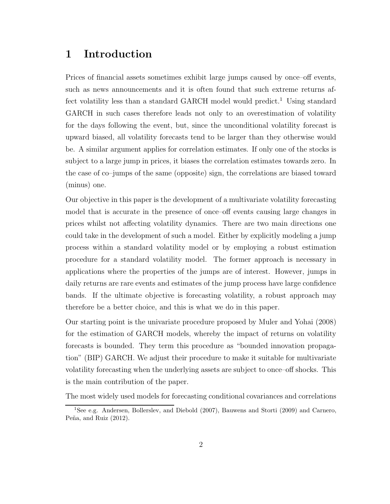## 1 Introduction

Prices of financial assets sometimes exhibit large jumps caused by once–off events, such as news announcements and it is often found that such extreme returns affect volatility less than a standard GARCH model would predict.<sup>1</sup> Using standard GARCH in such cases therefore leads not only to an overestimation of volatility for the days following the event, but, since the unconditional volatility forecast is upward biased, all volatility forecasts tend to be larger than they otherwise would be. A similar argument applies for correlation estimates. If only one of the stocks is subject to a large jump in prices, it biases the correlation estimates towards zero. In the case of co–jumps of the same (opposite) sign, the correlations are biased toward (minus) one.

Our objective in this paper is the development of a multivariate volatility forecasting model that is accurate in the presence of once–off events causing large changes in prices whilst not affecting volatility dynamics. There are two main directions one could take in the development of such a model. Either by explicitly modeling a jump process within a standard volatility model or by employing a robust estimation procedure for a standard volatility model. The former approach is necessary in applications where the properties of the jumps are of interest. However, jumps in daily returns are rare events and estimates of the jump process have large confidence bands. If the ultimate objective is forecasting volatility, a robust approach may therefore be a better choice, and this is what we do in this paper.

Our starting point is the univariate procedure proposed by Muler and Yohai (2008) for the estimation of GARCH models, whereby the impact of returns on volatility forecasts is bounded. They term this procedure as "bounded innovation propagation" (BIP) GARCH. We adjust their procedure to make it suitable for multivariate volatility forecasting when the underlying assets are subject to once–off shocks. This is the main contribution of the paper.

The most widely used models for forecasting conditional covariances and correlations

<sup>&</sup>lt;sup>1</sup>See e.g. Andersen, Bollerslev, and Diebold (2007), Bauwens and Storti (2009) and Carnero, Peña, and Ruiz  $(2012)$ .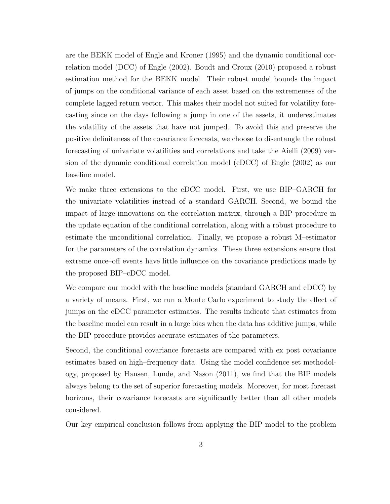are the BEKK model of Engle and Kroner (1995) and the dynamic conditional correlation model (DCC) of Engle (2002). Boudt and Croux (2010) proposed a robust estimation method for the BEKK model. Their robust model bounds the impact of jumps on the conditional variance of each asset based on the extremeness of the complete lagged return vector. This makes their model not suited for volatility forecasting since on the days following a jump in one of the assets, it underestimates the volatility of the assets that have not jumped. To avoid this and preserve the positive definiteness of the covariance forecasts, we choose to disentangle the robust forecasting of univariate volatilities and correlations and take the Aielli (2009) version of the dynamic conditional correlation model (cDCC) of Engle (2002) as our baseline model.

We make three extensions to the cDCC model. First, we use BIP–GARCH for the univariate volatilities instead of a standard GARCH. Second, we bound the impact of large innovations on the correlation matrix, through a BIP procedure in the update equation of the conditional correlation, along with a robust procedure to estimate the unconditional correlation. Finally, we propose a robust M–estimator for the parameters of the correlation dynamics. These three extensions ensure that extreme once–off events have little influence on the covariance predictions made by the proposed BIP–cDCC model.

We compare our model with the baseline models (standard GARCH and cDCC) by a variety of means. First, we run a Monte Carlo experiment to study the effect of jumps on the cDCC parameter estimates. The results indicate that estimates from the baseline model can result in a large bias when the data has additive jumps, while the BIP procedure provides accurate estimates of the parameters.

Second, the conditional covariance forecasts are compared with ex post covariance estimates based on high–frequency data. Using the model confidence set methodology, proposed by Hansen, Lunde, and Nason (2011), we find that the BIP models always belong to the set of superior forecasting models. Moreover, for most forecast horizons, their covariance forecasts are significantly better than all other models considered.

Our key empirical conclusion follows from applying the BIP model to the problem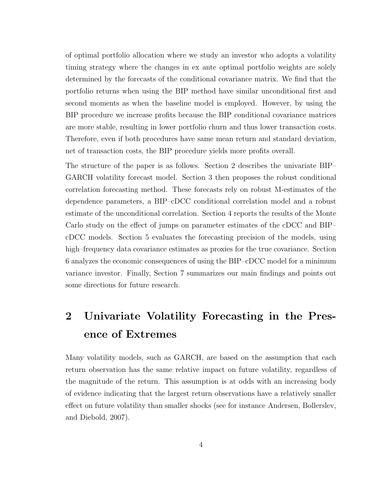of optimal portfolio allocation where we study an investor who adopts a volatility timing strategy where the changes in ex ante optimal portfolio weights are solely determined by the forecasts of the conditional covariance matrix. We find that the portfolio returns when using the BIP method have similar unconditional first and second moments as when the baseline model is employed. However, by using the BIP procedure we increase profits because the BIP conditional covariance matrices are more stable, resulting in lower portfolio churn and thus lower transaction costs. Therefore, even if both procedures have same mean return and standard deviation, net of transaction costs, the BIP procedure yields more profits overall.

The structure of the paper is as follows. Section 2 describes the univariate BIP– GARCH volatility forecast model. Section 3 then proposes the robust conditional correlation forecasting method. These forecasts rely on robust M-estimates of the dependence parameters, a BIP–cDCC conditional correlation model and a robust estimate of the unconditional correlation. Section 4 reports the results of the Monte Carlo study on the effect of jumps on parameter estimates of the cDCC and BIP– cDCC models. Section 5 evaluates the forecasting precision of the models, using high–frequency data covariance estimates as proxies for the true covariance. Section 6 analyzes the economic consequences of using the BIP–cDCC model for a minimum variance investor. Finally, Section 7 summarizes our main findings and points out some directions for future research.

## 2 Univariate Volatility Forecasting in the Presence of Extremes

Many volatility models, such as GARCH, are based on the assumption that each return observation has the same relative impact on future volatility, regardless of the magnitude of the return. This assumption is at odds with an increasing body of evidence indicating that the largest return observations have a relatively smaller effect on future volatility than smaller shocks (see for instance Andersen, Bollerslev, and Diebold, 2007).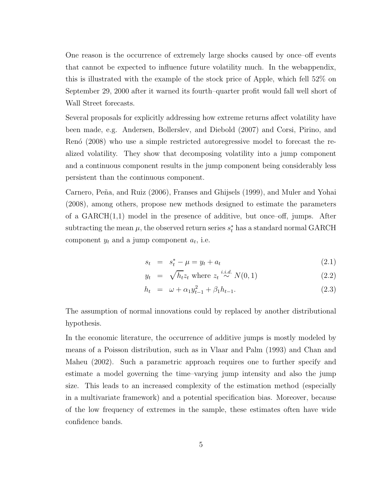One reason is the occurrence of extremely large shocks caused by once–off events that cannot be expected to influence future volatility much. In the webappendix, this is illustrated with the example of the stock price of Apple, which fell 52% on September 29, 2000 after it warned its fourth–quarter profit would fall well short of Wall Street forecasts.

Several proposals for explicitly addressing how extreme returns affect volatility have been made, e.g. Andersen, Bollerslev, and Diebold (2007) and Corsi, Pirino, and Renó (2008) who use a simple restricted autoregressive model to forecast the realized volatility. They show that decomposing volatility into a jump component and a continuous component results in the jump component being considerably less persistent than the continuous component.

Carnero, Peña, and Ruiz (2006), Franses and Ghijsels (1999), and Muler and Yohai (2008), among others, propose new methods designed to estimate the parameters of a GARCH(1,1) model in the presence of additive, but once–off, jumps. After subtracting the mean  $\mu$ , the observed return series  $s_t^*$  has a standard normal GARCH component  $y_t$  and a jump component  $a_t$ , i.e.

$$
s_t = s_t^* - \mu = y_t + a_t \tag{2.1}
$$

$$
y_t = \sqrt{h_t} z_t \text{ where } z_t \stackrel{i.i.d.}{\sim} N(0, 1) \tag{2.2}
$$

$$
h_t = \omega + \alpha_1 y_{t-1}^2 + \beta_1 h_{t-1}.
$$
\n(2.3)

The assumption of normal innovations could by replaced by another distributional hypothesis.

In the economic literature, the occurrence of additive jumps is mostly modeled by means of a Poisson distribution, such as in Vlaar and Palm (1993) and Chan and Maheu (2002). Such a parametric approach requires one to further specify and estimate a model governing the time–varying jump intensity and also the jump size. This leads to an increased complexity of the estimation method (especially in a multivariate framework) and a potential specification bias. Moreover, because of the low frequency of extremes in the sample, these estimates often have wide confidence bands.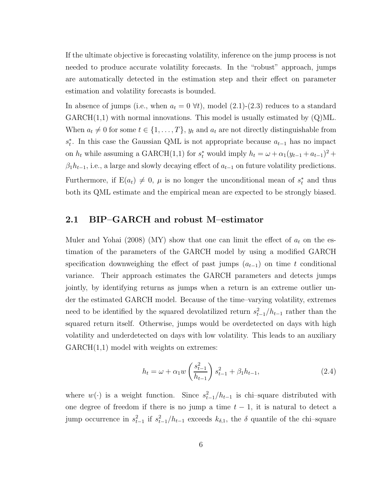If the ultimate objective is forecasting volatility, inference on the jump process is not needed to produce accurate volatility forecasts. In the "robust" approach, jumps are automatically detected in the estimation step and their effect on parameter estimation and volatility forecasts is bounded.

In absence of jumps (i.e., when  $a_t = 0 \forall t$ ), model (2.1)-(2.3) reduces to a standard  $GARCH(1,1)$  with normal innovations. This model is usually estimated by  $(Q)ML$ . When  $a_t \neq 0$  for some  $t \in \{1, \ldots, T\}$ ,  $y_t$  and  $a_t$  are not directly distinguishable from  $s_t^*$ . In this case the Gaussian QML is not appropriate because  $a_{t-1}$  has no impact on  $h_t$  while assuming a GARCH(1,1) for  $s_t^*$  would imply  $h_t = \omega + \alpha_1(y_{t-1} + a_{t-1})^2 +$  $\beta_1 h_{t-1}$ , i.e., a large and slowly decaying effect of  $a_{t-1}$  on future volatility predictions. Furthermore, if  $E(a_t) \neq 0$ ,  $\mu$  is no longer the unconditional mean of  $s_t^*$  and thus both its QML estimate and the empirical mean are expected to be strongly biased.

### 2.1 BIP–GARCH and robust M–estimator

Muler and Yohai (2008) (MY) show that one can limit the effect of  $a_t$  on the estimation of the parameters of the GARCH model by using a modified GARCH specification downweighing the effect of past jumps  $(a_{t-1})$  on time t conditional variance. Their approach estimates the GARCH parameters and detects jumps jointly, by identifying returns as jumps when a return is an extreme outlier under the estimated GARCH model. Because of the time–varying volatility, extremes need to be identified by the squared devolatilized return  $s_{t-1}^2/h_{t-1}$  rather than the squared return itself. Otherwise, jumps would be overdetected on days with high volatility and underdetected on days with low volatility. This leads to an auxiliary GARCH(1,1) model with weights on extremes:

$$
h_t = \omega + \alpha_1 w \left(\frac{s_{t-1}^2}{h_{t-1}}\right) s_{t-1}^2 + \beta_1 h_{t-1},\tag{2.4}
$$

where  $w(\cdot)$  is a weight function. Since  $s_{t-1}^2/h_{t-1}$  is chi-square distributed with one degree of freedom if there is no jump a time  $t - 1$ , it is natural to detect a jump occurrence in  $s_{t-1}^2$  if  $s_{t-1}^2/h_{t-1}$  exceeds  $k_{\delta,1}$ , the  $\delta$  quantile of the chi–square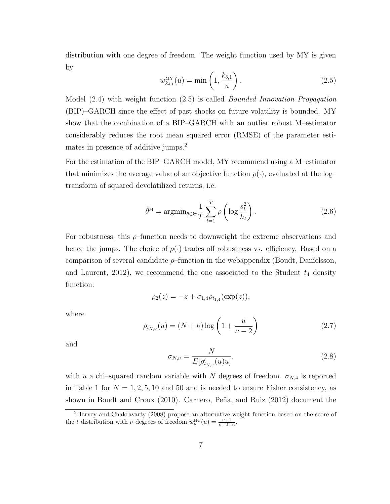distribution with one degree of freedom. The weight function used by MY is given by

$$
w_{k_{\delta,1}}^{\text{MY}}(u) = \min\left(1, \frac{k_{\delta,1}}{u}\right). \tag{2.5}
$$

Model (2.4) with weight function (2.5) is called *Bounded Innovation Propagation* (BIP)–GARCH since the effect of past shocks on future volatility is bounded. MY show that the combination of a BIP–GARCH with an outlier robust M–estimator considerably reduces the root mean squared error (RMSE) of the parameter estimates in presence of additive jumps.<sup>2</sup>

For the estimation of the BIP–GARCH model, MY recommend using a M–estimator that minimizes the average value of an objective function  $\rho(\cdot)$ , evaluated at the log– transform of squared devolatilized returns, i.e.

$$
\hat{\theta}^{\mathcal{M}} = \operatorname{argmin}_{\theta \in \Theta} \frac{1}{T} \sum_{t=1}^{T} \rho \left( \log \frac{s_t^2}{h_t} \right). \tag{2.6}
$$

For robustness, this  $\rho$ -function needs to downweight the extreme observations and hence the jumps. The choice of  $\rho(\cdot)$  trades off robustness vs. efficiency. Based on a comparison of several candidate  $\rho$ -function in the webappendix (Boudt, Daníelsson, and Laurent, 2012), we recommend the one associated to the Student  $t_4$  density function:

$$
\rho_2(z) = -z + \sigma_{1,4}\rho_{t_{1,4}}(\exp(z)),
$$

where

$$
\rho_{t_{N,\nu}}(u) = (N + \nu) \log \left( 1 + \frac{u}{\nu - 2} \right) \tag{2.7}
$$

and

$$
\sigma_{N,\nu} = \frac{N}{E[\rho'_{t_{N,\nu}}(u)u]},
$$
\n(2.8)

with u a chi–squared random variable with N degrees of freedom.  $\sigma_{N,4}$  is reported in Table 1 for  $N = 1, 2, 5, 10$  and 50 and is needed to ensure Fisher consistency, as shown in Boudt and Croux  $(2010)$ . Carnero, Peña, and Ruiz  $(2012)$  document the

<sup>2</sup>Harvey and Chakravarty (2008) propose an alternative weight function based on the score of the t distribution with  $\nu$  degrees of freedom  $w_{\nu}^{\text{HC}}(u) = \frac{\nu+1}{\nu-2+u}$ .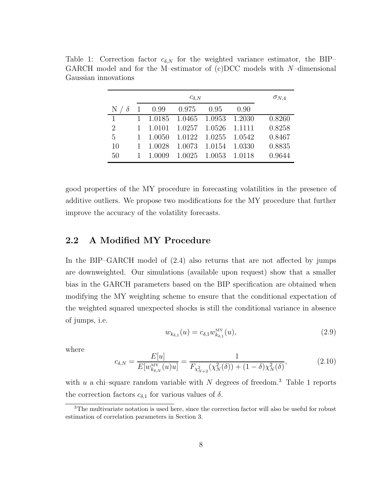|                         |                  | $\sigma_{N,4}$                     |      |        |
|-------------------------|------------------|------------------------------------|------|--------|
| $\mathbb N$<br>$\delta$ |                  | $0.99$ $0.975$ $0.95$              | 0.90 |        |
| 1                       |                  | 1 1.0185 1.0465 1.0953 1.2030      |      | 0.8260 |
| $\overline{2}$          | 1 1.0101         | 1.0257 1.0526 1.1111               |      | 0.8258 |
| 5                       | 1 1.0050         | $1.0122 \quad 1.0255 \quad 1.0542$ |      | 0.8467 |
| 10                      | 1 1.0028         | $1.0073$ $1.0154$ $1.0330$         |      | 0.8835 |
| 50                      | $1 \quad 1.0009$ | $1.0025$ $1.0053$ $1.0118$         |      | 0.9644 |

Table 1: Correction factor  $c_{\delta,N}$  for the weighted variance estimator, the BIP– GARCH model and for the M-estimator of  $(c)DCC$  models with N-dimensional Gaussian innovations

good properties of the MY procedure in forecasting volatilities in the presence of additive outliers. We propose two modifications for the MY procedure that further improve the accuracy of the volatility forecasts.

#### 2.2 A Modified MY Procedure

In the BIP–GARCH model of (2.4) also returns that are not affected by jumps are downweighted. Our simulations (available upon request) show that a smaller bias in the GARCH parameters based on the BIP specification are obtained when modifying the MY weighting scheme to ensure that the conditional expectation of the weighted squared unexpected shocks is still the conditional variance in absence of jumps, i.e.

$$
w_{k_{\delta,1}}(u) = c_{\delta,1} w_{k_{\delta,1}}^{\text{MY}}(u),
$$
\n(2.9)

where

$$
c_{\delta,N} = \frac{E[u]}{E[w_{k_{\delta,N}}^{\text{MY}}(u)u]} = \frac{1}{F_{\chi^2_{N+2}}(\chi^2_N(\delta)) + (1-\delta)\chi^2_N(\delta)},\tag{2.10}
$$

with  $u$  a chi–square random variable with  $N$  degrees of freedom.<sup>3</sup> Table 1 reports the correction factors  $c_{\delta,1}$  for various values of  $\delta$ .

<sup>&</sup>lt;sup>3</sup>The multivariate notation is used here, since the correction factor will also be useful for robust estimation of correlation parameters in Section 3.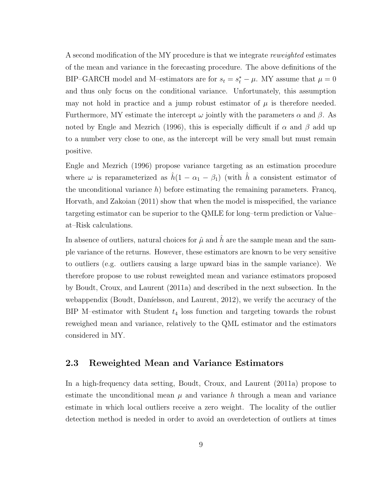A second modification of the MY procedure is that we integrate *reweighted* estimates of the mean and variance in the forecasting procedure. The above definitions of the BIP–GARCH model and M–estimators are for  $s_t = s_t^* - \mu$ . MY assume that  $\mu = 0$ and thus only focus on the conditional variance. Unfortunately, this assumption may not hold in practice and a jump robust estimator of  $\mu$  is therefore needed. Furthermore, MY estimate the intercept  $\omega$  jointly with the parameters  $\alpha$  and  $\beta$ . As noted by Engle and Mezrich (1996), this is especially difficult if  $\alpha$  and  $\beta$  add up to a number very close to one, as the intercept will be very small but must remain positive.

Engle and Mezrich (1996) propose variance targeting as an estimation procedure where  $\omega$  is reparameterized as  $\hat{h}(1 - \alpha_1 - \beta_1)$  (with  $\hat{h}$  a consistent estimator of the unconditional variance  $h$ ) before estimating the remaining parameters. Francq, Horvath, and Zakoian (2011) show that when the model is misspecified, the variance targeting estimator can be superior to the QMLE for long–term prediction or Value– at–Risk calculations.

In absence of outliers, natural choices for  $\hat{\mu}$  and  $\hat{h}$  are the sample mean and the sample variance of the returns. However, these estimators are known to be very sensitive to outliers (e.g. outliers causing a large upward bias in the sample variance). We therefore propose to use robust reweighted mean and variance estimators proposed by Boudt, Croux, and Laurent (2011a) and described in the next subsection. In the webappendix (Boudt, Daníelsson, and Laurent,  $2012$ ), we verify the accuracy of the BIP M–estimator with Student  $t_4$  loss function and targeting towards the robust reweighed mean and variance, relatively to the QML estimator and the estimators considered in MY.

#### 2.3 Reweighted Mean and Variance Estimators

In a high-frequency data setting, Boudt, Croux, and Laurent (2011a) propose to estimate the unconditional mean  $\mu$  and variance h through a mean and variance estimate in which local outliers receive a zero weight. The locality of the outlier detection method is needed in order to avoid an overdetection of outliers at times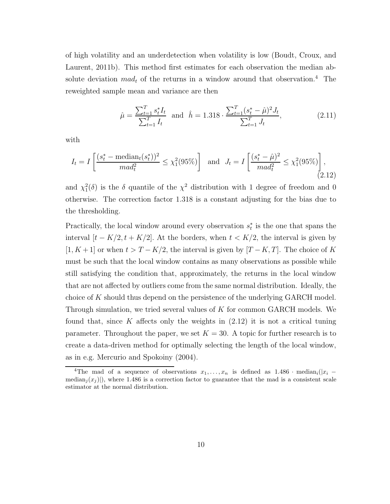of high volatility and an underdetection when volatility is low (Boudt, Croux, and Laurent, 2011b). This method first estimates for each observation the median absolute deviation  $mad_t$  of the returns in a window around that observation.<sup>4</sup> The reweighted sample mean and variance are then

$$
\hat{\mu} = \frac{\sum_{t=1}^{T} s_t^* I_t}{\sum_{t=1}^{T} I_t} \text{ and } \hat{h} = 1.318 \cdot \frac{\sum_{t=1}^{T} (s_t^* - \hat{\mu})^2 J_t}{\sum_{t=1}^{T} J_t},
$$
\n(2.11)

with

$$
I_t = I\left[\frac{(s_t^* - \text{median}_t(s_t^*))^2}{ma d_t^2} \le \chi_1^2(95\%)\right] \text{ and } J_t = I\left[\frac{(s_t^* - \hat{\mu})^2}{ma d_t^2} \le \chi_1^2(95\%)\right],\tag{2.12}
$$

and  $\chi_1^2(\delta)$  is the  $\delta$  quantile of the  $\chi^2$  distribution with 1 degree of freedom and 0 otherwise. The correction factor 1.318 is a constant adjusting for the bias due to the thresholding.

Practically, the local window around every observation  $s_t^*$  is the one that spans the interval  $[t - K/2, t + K/2]$ . At the borders, when  $t < K/2$ , the interval is given by [1, K + 1] or when  $t > T - K/2$ , the interval is given by [T – K, T]. The choice of K must be such that the local window contains as many observations as possible while still satisfying the condition that, approximately, the returns in the local window that are not affected by outliers come from the same normal distribution. Ideally, the choice of K should thus depend on the persistence of the underlying GARCH model. Through simulation, we tried several values of  $K$  for common GARCH models. We found that, since K affects only the weights in  $(2.12)$  it is not a critical tuning parameter. Throughout the paper, we set  $K = 30$ . A topic for further research is to create a data-driven method for optimally selecting the length of the local window, as in e.g. Mercurio and Spokoiny (2004).

<sup>&</sup>lt;sup>4</sup>The mad of a sequence of observations  $x_1, \ldots, x_n$  is defined as 1.486 · median<sub>i</sub>(|x<sub>i</sub> − median<sub>j</sub> $(x_j)$ , where 1.486 is a correction factor to guarantee that the mad is a consistent scale estimator at the normal distribution.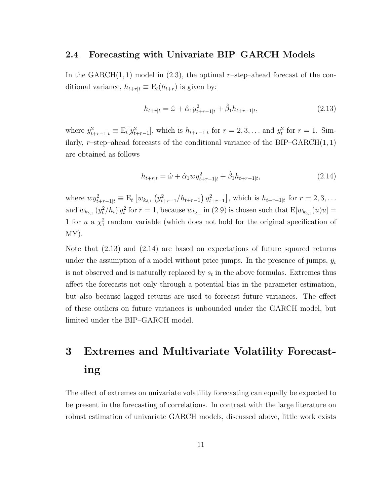#### 2.4 Forecasting with Univariate BIP–GARCH Models

In the  $GARCH(1, 1)$  model in (2.3), the optimal r-step–ahead forecast of the conditional variance,  $h_{t+r|t} \equiv E_t(h_{t+r})$  is given by:

$$
h_{t+r|t} = \hat{\omega} + \hat{\alpha}_1 y_{t+r-1|t}^2 + \hat{\beta}_1 h_{t+r-1|t},
$$
\n(2.13)

where  $y_{t+r-1|t}^2 \equiv E_t[y_{t+r-1}^2]$ , which is  $h_{t+r-1|t}$  for  $r = 2, 3, ...$  and  $y_t^2$  $t<sup>2</sup>$  for  $r = 1$ . Similarly, r–step–ahead forecasts of the conditional variance of the BIP–GARCH $(1, 1)$ are obtained as follows

$$
h_{t+r|t} = \hat{\omega} + \hat{\alpha}_1 w y_{t+r-1|t}^2 + \hat{\beta}_1 h_{t+r-1|t},
$$
\n(2.14)

where  $wy_{t+r-1|t}^2 \equiv E_t \left[ w_{k_{\delta,1}} \left( y_{t+r-1}^2 / h_{t+r-1} \right) y_{t+r-1}^2 \right]$ , which is  $h_{t+r-1|t}$  for  $r = 2, 3, \ldots$ and  $w_{k_{\delta,1}}(y_t^2)$  $_{t}^{2}/h_{t}) y_{t}^{2}$ <sup>2</sup> for  $r = 1$ , because  $w_{k_{\delta,1}}$  in (2.9) is chosen such that  $E[w_{k_{\delta,1}}(u)u] =$ 1 for u a  $\chi^2$  random variable (which does not hold for the original specification of MY).

Note that  $(2.13)$  and  $(2.14)$  are based on expectations of future squared returns under the assumption of a model without price jumps. In the presence of jumps,  $y_t$ is not observed and is naturally replaced by  $s_t$  in the above formulas. Extremes thus affect the forecasts not only through a potential bias in the parameter estimation, but also because lagged returns are used to forecast future variances. The effect of these outliers on future variances is unbounded under the GARCH model, but limited under the BIP–GARCH model.

# 3 Extremes and Multivariate Volatility Forecasting

The effect of extremes on univariate volatility forecasting can equally be expected to be present in the forecasting of correlations. In contrast with the large literature on robust estimation of univariate GARCH models, discussed above, little work exists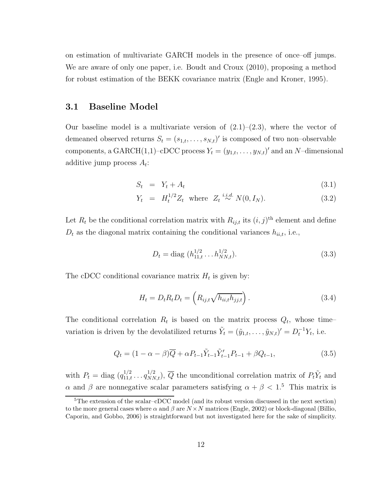on estimation of multivariate GARCH models in the presence of once–off jumps. We are aware of only one paper, i.e. Boudt and Croux (2010), proposing a method for robust estimation of the BEKK covariance matrix (Engle and Kroner, 1995).

#### 3.1 Baseline Model

Our baseline model is a multivariate version of  $(2.1)$ – $(2.3)$ , where the vector of demeaned observed returns  $S_t = (s_{1,t}, \ldots, s_{N,t})'$  is composed of two non-observable components, a GARCH $(1,1)$ –cDCC process  $Y_t = (y_{1,t}, \ldots, y_{N,t})'$  and an N–dimensional additive jump process  $A_t$ :

$$
S_t = Y_t + A_t \tag{3.1}
$$

$$
Y_t = H_t^{1/2} Z_t \quad \text{where} \quad Z_t \stackrel{i.i.d.}{\sim} N(0, I_N). \tag{3.2}
$$

Let  $R_t$  be the conditional correlation matrix with  $R_{ij,t}$  its  $(i, j)$ <sup>th</sup> element and define  $D_t$  as the diagonal matrix containing the conditional variances  $h_{ii,t}$ , i.e.,

$$
D_t = \text{diag}(h_{11,t}^{1/2} \dots h_{NN,t}^{1/2}).
$$
\n(3.3)

The cDCC conditional covariance matrix  $H_t$  is given by:

$$
H_t = D_t R_t D_t = \left( R_{ij,t} \sqrt{h_{ii,t} h_{jj,t}} \right). \tag{3.4}
$$

The conditional correlation  $R_t$  is based on the matrix process  $Q_t$ , whose timevariation is driven by the devolatilized returns  $\tilde{Y}_t = (\tilde{y}_{1,t}, \ldots, \tilde{y}_{N,t})' = D_t^{-1} Y_t$ , i.e.

$$
Q_t = (1 - \alpha - \beta)\overline{Q} + \alpha P_{t-1} \tilde{Y}_{t-1} P_{t-1} + \beta Q_{t-1},
$$
\n(3.5)

with  $P_t = \text{diag}(q_{11,t}^{1/2} \dots q_{NN,t}^{1/2}), \overline{Q}$  the unconditional correlation matrix of  $P_t\tilde{Y}_t$  and α and β are nonnegative scalar parameters satisfying  $\alpha + \beta < 1$ <sup>5</sup>. This matrix is

<sup>5</sup>The extension of the scalar–cDCC model (and its robust version discussed in the next section) to the more general cases where  $\alpha$  and  $\beta$  are  $N \times N$  matrices (Engle, 2002) or block-diagonal (Billio, Caporin, and Gobbo, 2006) is straightforward but not investigated here for the sake of simplicity.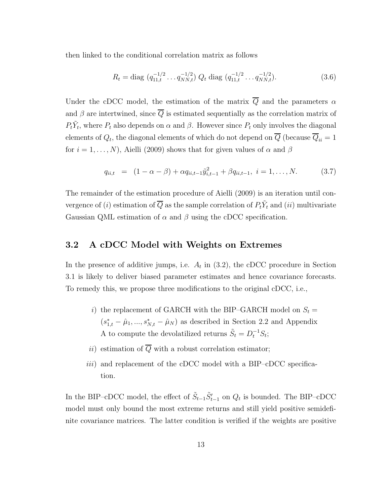then linked to the conditional correlation matrix as follows

$$
R_t = \text{diag}(q_{11,t}^{-1/2} \dots q_{NN,t}^{-1/2}) Q_t \text{ diag}(q_{11,t}^{-1/2} \dots q_{NN,t}^{-1/2}).
$$
\n(3.6)

Under the cDCC model, the estimation of the matrix  $\overline{Q}$  and the parameters  $\alpha$ and  $\beta$  are intertwined, since  $\overline{Q}$  is estimated sequentially as the correlation matrix of  $P_t\tilde{Y}_t$ , where  $P_t$  also depends on  $\alpha$  and  $\beta$ . However since  $P_t$  only involves the diagonal elements of  $Q_t$ , the diagonal elements of which do not depend on  $Q$  (because  $Q_{ii} = 1$ for  $i = 1, \ldots, N$ , Aielli (2009) shows that for given values of  $\alpha$  and  $\beta$ 

$$
q_{ii,t} = (1 - \alpha - \beta) + \alpha q_{ii,t-1} \tilde{y}_{i,t-1}^2 + \beta q_{ii,t-1}, \quad i = 1, \dots, N. \tag{3.7}
$$

The remainder of the estimation procedure of Aielli (2009) is an iteration until convergence of (*i*) estimation of  $\overline{Q}$  as the sample correlation of  $P_t\tilde{Y}_t$  and (*ii*) multivariate Gaussian QML estimation of  $\alpha$  and  $\beta$  using the cDCC specification.

#### 3.2 A cDCC Model with Weights on Extremes

In the presence of additive jumps, i.e.  $A_t$  in  $(3.2)$ , the cDCC procedure in Section 3.1 is likely to deliver biased parameter estimates and hence covariance forecasts. To remedy this, we propose three modifications to the original cDCC, i.e.,

- i) the replacement of GARCH with the BIP–GARCH model on  $S_t =$  $(s_{1,t}^* - \hat{\mu}_1, ..., s_{N,t}^* - \hat{\mu}_N)$  as described in Section 2.2 and Appendix A to compute the devolatilized returns  $\tilde{S}_t = D_t^{-1} S_t$ ;
- ii) estimation of  $\overline{Q}$  with a robust correlation estimator;
- iii) and replacement of the cDCC model with a BIP–cDCC specification.

In the BIP–cDCC model, the effect of  $\tilde{S}_{t-1}\tilde{S}_{t-1}'$  on  $Q_t$  is bounded. The BIP–cDCC model must only bound the most extreme returns and still yield positive semidefinite covariance matrices. The latter condition is verified if the weights are positive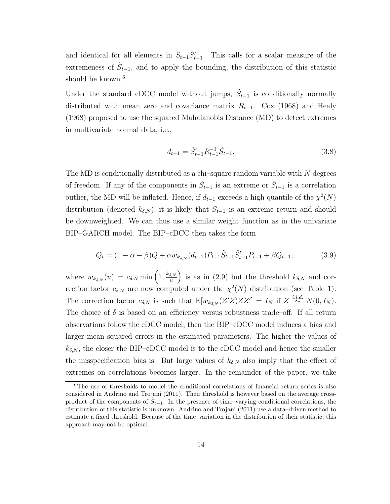and identical for all elements in  $\tilde{S}_{t-1}\tilde{S}'_{t-1}$ . This calls for a scalar measure of the extremeness of  $\tilde{S}_{t-1}$ , and to apply the bounding, the distribution of this statistic should be known.<sup>6</sup>

Under the standard cDCC model without jumps,  $\tilde{S}_{t-1}$  is conditionally normally distributed with mean zero and covariance matrix  $R_{t-1}$ . Cox (1968) and Healy (1968) proposed to use the squared Mahalanobis Distance (MD) to detect extremes in multivariate normal data, i.e.,

$$
d_{t-1} = \tilde{S}_{t-1}' R_{t-1}^{-1} \tilde{S}_{t-1}.
$$
\n(3.8)

The MD is conditionally distributed as a chi–square random variable with  $N$  degrees of freedom. If any of the components in  $\tilde{S}_{t-1}$  is an extreme or  $\tilde{S}_{t-1}$  is a correlation outlier, the MD will be inflated. Hence, if  $d_{t-1}$  exceeds a high quantile of the  $\chi^2(N)$ distribution (denoted  $k_{\delta,N}$ ), it is likely that  $S_{t-1}$  is an extreme return and should be downweighted. We can thus use a similar weight function as in the univariate BIP–GARCH model. The BIP–cDCC then takes the form

$$
Q_t = (1 - \alpha - \beta)\overline{Q} + \alpha w_{k_{\delta,N}}(d_{t-1})P_{t-1}\tilde{S}_{t-1}P_{t-1} + \beta Q_{t-1},
$$
\n(3.9)

where  $w_{k_{\delta,N}}(u) = c_{\delta,N} \min\left(1, \frac{k_{\delta,N}}{u}\right)$  $\left(\frac{\delta,N}{u}\right)$  is as in (2.9) but the threshold  $k_{\delta,N}$  and correction factor  $c_{\delta,N}$  are now computed under the  $\chi^2(N)$  distribution (see Table 1). The correction factor  $c_{\delta,N}$  is such that  $\mathbb{E}[w_{k_{\delta,N}}(Z'Z)ZZ'] = I_N$  if  $Z \stackrel{i.i.d.}{\sim} N(0, I_N)$ . The choice of  $\delta$  is based on an efficiency versus robustness trade–off. If all return observations follow the cDCC model, then the BIP–cDCC model induces a bias and larger mean squared errors in the estimated parameters. The higher the values of  $k_{\delta,N}$ , the closer the BIP–cDCC model is to the cDCC model and hence the smaller the misspecification bias is. But large values of  $k_{\delta,N}$  also imply that the effect of extremes on correlations becomes larger. In the remainder of the paper, we take

<sup>&</sup>lt;sup>6</sup>The use of thresholds to model the conditional correlations of financial return series is also considered in Audrino and Trojani (2011). Their threshold is however based on the average crossproduct of the components of  $\tilde{S}_{t-1}$ . In the presence of time–varying conditional correlations, the distribution of this statistic is unknown. Audrino and Trojani (2011) use a data–driven method to estimate a fixed threshold. Because of the time–variation in the distribution of their statistic, this approach may not be optimal.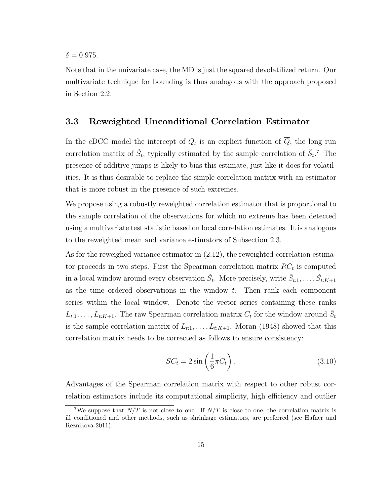$\delta = 0.975$ .

Note that in the univariate case, the MD is just the squared devolatilized return. Our multivariate technique for bounding is thus analogous with the approach proposed in Section 2.2.

#### 3.3 Reweighted Unconditional Correlation Estimator

In the cDCC model the intercept of  $Q_t$  is an explicit function of  $Q$ , the long run correlation matrix of  $\tilde{S}_t$ , typically estimated by the sample correlation of  $\tilde{S}_t$ .<sup>7</sup> The presence of additive jumps is likely to bias this estimate, just like it does for volatilities. It is thus desirable to replace the simple correlation matrix with an estimator that is more robust in the presence of such extremes.

We propose using a robustly reweighted correlation estimator that is proportional to the sample correlation of the observations for which no extreme has been detected using a multivariate test statistic based on local correlation estimates. It is analogous to the reweighted mean and variance estimators of Subsection 2.3.

As for the reweighed variance estimator in (2.12), the reweighted correlation estimator proceeds in two steps. First the Spearman correlation matrix  $RC<sub>t</sub>$  is computed in a local window around every observation  $\tilde{S}_t$ . More precisely, write  $\tilde{S}_{t:1}, \ldots, \tilde{S}_{t:K+1}$ as the time ordered observations in the window  $t$ . Then rank each component series within the local window. Denote the vector series containing these ranks  $L_{t:1}, \ldots, L_{t:K+1}$ . The raw Spearman correlation matrix  $C_t$  for the window around  $\tilde{S}_t$ is the sample correlation matrix of  $L_{t:1}, \ldots, L_{t:K+1}$ . Moran (1948) showed that this correlation matrix needs to be corrected as follows to ensure consistency:

$$
SC_t = 2\sin\left(\frac{1}{6}\pi C_t\right). \tag{3.10}
$$

Advantages of the Spearman correlation matrix with respect to other robust correlation estimators include its computational simplicity, high efficiency and outlier

<sup>&</sup>lt;sup>7</sup>We suppose that  $N/T$  is not close to one. If  $N/T$  is close to one, the correlation matrix is ill–conditioned and other methods, such as shrinkage estimators, are preferred (see Hafner and Reznikova 2011).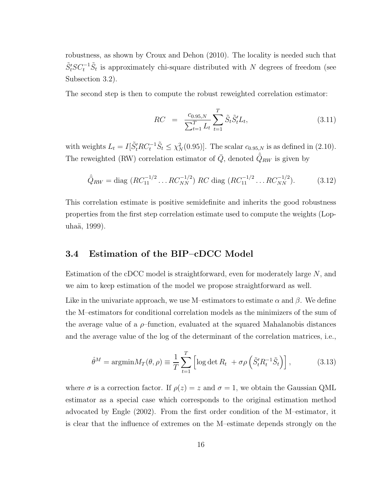robustness, as shown by Croux and Dehon (2010). The locality is needed such that  $\tilde{S}'_t SC_t^{-1} \tilde{S}_t$  is approximately chi-square distributed with N degrees of freedom (see Subsection 3.2).

The second step is then to compute the robust reweighted correlation estimator:

$$
RC = \frac{c_{0.95,N}}{\sum_{t=1}^{T} L_t} \sum_{t=1}^{T} \tilde{S}_t \tilde{S}_t' L_t,
$$
\n(3.11)

with weights  $L_t = I[\tilde{S}_t'RC_t^{-1}\tilde{S}_t \leq \chi_N^2(0.95)]$ . The scalar  $c_{0.95,N}$  is as defined in (2.10). The reweighted (RW) correlation estimator of  $\overline{Q}$ , denoted  $\hat{\overline{Q}}_{RW}$  is given by

$$
\hat{Q}_{RW} = \text{diag}\ (RC_{11}^{-1/2} \dots RC_{NN}^{-1/2})\ RC\ \text{diag}\ (RC_{11}^{-1/2} \dots RC_{NN}^{-1/2}).\tag{3.12}
$$

This correlation estimate is positive semidefinite and inherits the good robustness properties from the first step correlation estimate used to compute the weights (Lopuhaä, 1999).

#### 3.4 Estimation of the BIP–cDCC Model

Estimation of the cDCC model is straightforward, even for moderately large N, and we aim to keep estimation of the model we propose straightforward as well.

Like in the univariate approach, we use M–estimators to estimate  $\alpha$  and  $\beta$ . We define the M–estimators for conditional correlation models as the minimizers of the sum of the average value of a  $\rho$ -function, evaluated at the squared Mahalanobis distances and the average value of the log of the determinant of the correlation matrices, i.e.,

$$
\hat{\theta}^M = \operatorname{argmin} M_T(\theta, \rho) \equiv \frac{1}{T} \sum_{t=1}^T \left[ \log \det R_t + \sigma \rho \left( \tilde{S}_t^{\prime} R_t^{-1} \tilde{S}_t \right) \right],\tag{3.13}
$$

where  $\sigma$  is a correction factor. If  $\rho(z) = z$  and  $\sigma = 1$ , we obtain the Gaussian QML estimator as a special case which corresponds to the original estimation method advocated by Engle (2002). From the first order condition of the M–estimator, it is clear that the influence of extremes on the M–estimate depends strongly on the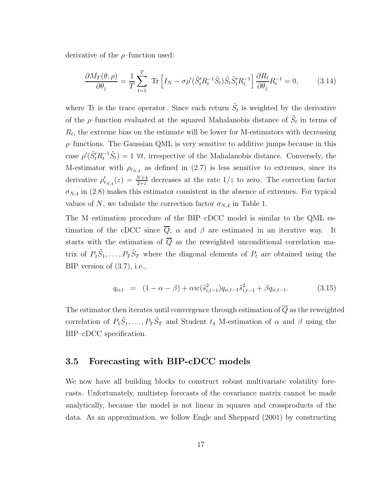derivative of the  $\rho$ -function used:

$$
\frac{\partial M_T(\theta,\rho)}{\partial \theta_j} = \frac{1}{T} \sum_{t=1}^T \text{ Tr} \left[ I_N - \sigma \rho' (\tilde{S}_t' R_t^{-1} \tilde{S}_t) \tilde{S}_t \tilde{S}_t' R_t^{-1} \right] \frac{\partial R_t}{\partial \theta_j} R_t^{-1} = 0, \quad (3.14)
$$

where Tr is the trace operator. Since each return  $\tilde{S}_t$  is weighted by the derivative of the  $\rho$ -function evaluated at the squared Mahalanobis distance of  $\tilde{S}_t$  in terms of  $R_t$ , the extreme bias on the estimate will be lower for M-estimators with decreasing  $\rho$ -functions. The Gaussian QML is very sensitive to additive jumps because in this case  $\rho'(\tilde{S}'_t R_t^{-1} \tilde{S}_t) = 1 \ \forall t$ , irrespective of the Mahalanobis distance. Conversely, the M-estimator with  $\rho_{t_{N,4}}$  as defined in (2.7) is less sensitive to extremes, since its derivative  $\rho'_{t_{N,4}}(z) = \frac{N+4}{2+z}$  decreases at the rate  $1/z$  to zero. The correction factor  $\sigma_{N,4}$  in (2.8) makes this estimator consistent in the absence of extremes. For typical values of N, we tabulate the correction factor  $\sigma_{N,4}$  in Table 1.

The M–estimation procedure of the BIP–cDCC model is similar to the QML estimation of the cDCC since  $\overline{Q}$ ,  $\alpha$  and  $\beta$  are estimated in an iterative way. It starts with the estimation of  $\overline{Q}$  as the reweighted unconditional correlation matrix of  $P_1 \tilde{S}_1, \ldots, P_T \tilde{S}_T$  where the diagonal elements of  $P_t$  are obtained using the BIP version of (3.7), i.e.,

$$
q_{ii,t} = (1 - \alpha - \beta) + \alpha w(\tilde{s}_{i,t-1}^2) q_{ii,t-1} \tilde{s}_{i,t-1}^2 + \beta q_{ii,t-1}.
$$
 (3.15)

The estimator then iterates until convergence through estimation of  $\overline{Q}$  as the reweighted correlation of  $P_1 \tilde{S}_1, \ldots, P_T \tilde{S}_T$  and Student  $t_4$  M-estimation of  $\alpha$  and  $\beta$  using the BIP–cDCC specification.

#### 3.5 Forecasting with BIP-cDCC models

We now have all building blocks to construct robust multivariate volatility forecasts. Unfortunately, multistep forecasts of the covariance matrix cannot be made analytically, because the model is not linear in squares and crossproducts of the data. As an approximation, we follow Engle and Sheppard (2001) by constructing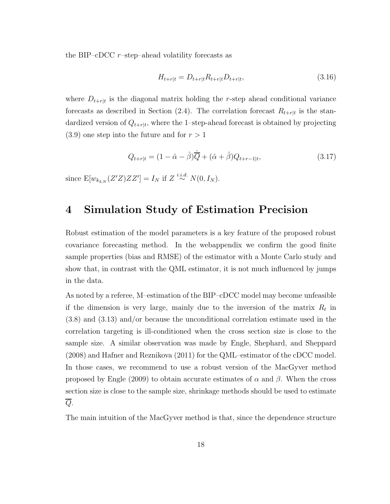the BIP–cDCC  $r$ –step–ahead volatility forecasts as

$$
H_{t+r|t} = D_{t+r|t} R_{t+r|t} D_{t+r|t}, \tag{3.16}
$$

where  $D_{t+r|t}$  is the diagonal matrix holding the r-step ahead conditional variance forecasts as described in Section (2.4). The correlation forecast  $R_{t+r|t}$  is the standardized version of  $Q_{t+r|t}$ , where the 1-step-ahead forecast is obtained by projecting  $(3.9)$  one step into the future and for  $r > 1$ 

$$
Q_{t+r|t} = (1 - \hat{\alpha} - \hat{\beta})\hat{\overline{Q}} + (\hat{\alpha} + \hat{\beta})Q_{t+r-1|t},
$$
\n(3.17)

since  $E[w_{k_{\delta,N}}(Z'Z)ZZ'] = I_N$  if  $Z \stackrel{i.i.d.}{\sim} N(0, I_N)$ .

### 4 Simulation Study of Estimation Precision

Robust estimation of the model parameters is a key feature of the proposed robust covariance forecasting method. In the webappendix we confirm the good finite sample properties (bias and RMSE) of the estimator with a Monte Carlo study and show that, in contrast with the QML estimator, it is not much influenced by jumps in the data.

As noted by a referee, M–estimation of the BIP–cDCC model may become unfeasible if the dimension is very large, mainly due to the inversion of the matrix  $R_t$  in (3.8) and (3.13) and/or because the unconditional correlation estimate used in the correlation targeting is ill-conditioned when the cross section size is close to the sample size. A similar observation was made by Engle, Shephard, and Sheppard (2008) and Hafner and Reznikova (2011) for the QML–estimator of the cDCC model. In those cases, we recommend to use a robust version of the MacGyver method proposed by Engle (2009) to obtain accurate estimates of  $\alpha$  and  $\beta$ . When the cross section size is close to the sample size, shrinkage methods should be used to estimate  $\overline{Q}$ .

The main intuition of the MacGyver method is that, since the dependence structure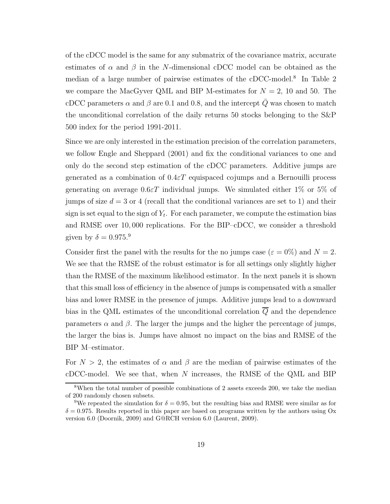of the cDCC model is the same for any submatrix of the covariance matrix, accurate estimates of  $\alpha$  and  $\beta$  in the N-dimensional cDCC model can be obtained as the median of a large number of pairwise estimates of the cDCC-model.<sup>8</sup> In Table 2 we compare the MacGyver QML and BIP M-estimates for  $N = 2$ , 10 and 50. The cDCC parameters  $\alpha$  and  $\beta$  are 0.1 and 0.8, and the intercept  $\overline{Q}$  was chosen to match the unconditional correlation of the daily returns 50 stocks belonging to the S&P 500 index for the period 1991-2011.

Since we are only interested in the estimation precision of the correlation parameters, we follow Engle and Sheppard (2001) and fix the conditional variances to one and only do the second step estimation of the cDCC parameters. Additive jumps are generated as a combination of  $0.4 \epsilon T$  equispaced cojumps and a Bernouilli process generating on average  $0.6 \epsilon T$  individual jumps. We simulated either 1% or 5% of jumps of size  $d = 3$  or 4 (recall that the conditional variances are set to 1) and their sign is set equal to the sign of  $Y_t$ . For each parameter, we compute the estimation bias and RMSE over 10, 000 replications. For the BIP–cDCC, we consider a threshold given by  $\delta = 0.975$ .<sup>9</sup>

Consider first the panel with the results for the no jumps case ( $\varepsilon = 0\%$ ) and  $N = 2$ . We see that the RMSE of the robust estimator is for all settings only slightly higher than the RMSE of the maximum likelihood estimator. In the next panels it is shown that this small loss of efficiency in the absence of jumps is compensated with a smaller bias and lower RMSE in the presence of jumps. Additive jumps lead to a downward bias in the QML estimates of the unconditional correlation  $\overline{Q}$  and the dependence parameters  $\alpha$  and  $\beta$ . The larger the jumps and the higher the percentage of jumps, the larger the bias is. Jumps have almost no impact on the bias and RMSE of the BIP M–estimator.

For  $N > 2$ , the estimates of  $\alpha$  and  $\beta$  are the median of pairwise estimates of the  $cDCC$ -model. We see that, when  $N$  increases, the RMSE of the QML and BIP

<sup>8</sup>When the total number of possible combinations of 2 assets exceeds 200, we take the median of 200 randomly chosen subsets.

<sup>&</sup>lt;sup>9</sup>We repeated the simulation for  $\delta = 0.95$ , but the resulting bias and RMSE were similar as for  $\delta = 0.975$ . Results reported in this paper are based on programs written by the authors using Ox version 6.0 (Doornik, 2009) and G@RCH version 6.0 (Laurent, 2009).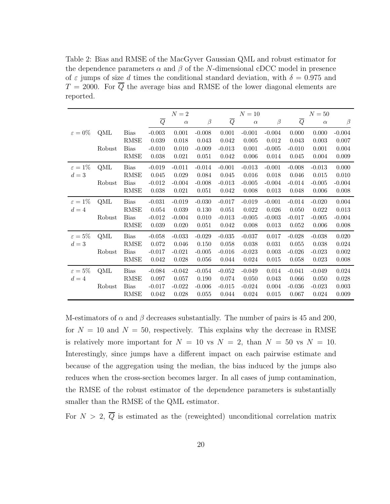Table 2: Bias and RMSE of the MacGyver Gaussian QML and robust estimator for the dependence parameters  $\alpha$  and  $\beta$  of the N-dimensional cDCC model in presence of  $\varepsilon$  jumps of size d times the conditional standard deviation, with  $\delta = 0.975$  and  $T = 2000$ . For  $\overline{Q}$  the average bias and RMSE of the lower diagonal elements are reported.

|                     |        |             |          | $N=2$    | $N=10$   |          |          |          |                | $N=50$   |          |  |
|---------------------|--------|-------------|----------|----------|----------|----------|----------|----------|----------------|----------|----------|--|
|                     |        |             | Q        | $\alpha$ | $\beta$  | Q        | $\alpha$ | $\beta$  | $\overline{Q}$ | $\alpha$ | $\beta$  |  |
| $\varepsilon = 0\%$ | QML    | <b>Bias</b> | $-0.003$ | 0.001    | $-0.008$ | 0.001    | $-0.001$ | $-0.004$ | 0.000          | 0.000    | $-0.004$ |  |
|                     |        | <b>RMSE</b> | 0.039    | 0.018    | 0.043    | 0.042    | 0.005    | 0.012    | 0.043          | 0.003    | 0.007    |  |
|                     | Robust | <b>Bias</b> | $-0.010$ | 0.010    | $-0.009$ | $-0.013$ | 0.001    | $-0.005$ | $-0.010$       | 0.001    | 0.004    |  |
|                     |        | RMSE        | 0.038    | 0.021    | 0.051    | 0.042    | 0.006    | 0.014    | 0.045          | 0.004    | 0.009    |  |
| $\varepsilon = 1\%$ | QML    | <b>Bias</b> | $-0.019$ | $-0.011$ | $-0.014$ | $-0.001$ | $-0.013$ | $-0.001$ | $-0.008$       | $-0.013$ | 0.000    |  |
| $d=3$               |        | <b>RMSE</b> | 0.045    | 0.029    | 0.084    | 0.045    | 0.016    | 0.018    | 0.046          | 0.015    | 0.010    |  |
|                     | Robust | <b>Bias</b> | $-0.012$ | $-0.004$ | $-0.008$ | $-0.013$ | $-0.005$ | $-0.004$ | $-0.014$       | $-0.005$ | $-0.004$ |  |
|                     |        | <b>RMSE</b> | 0.038    | 0.021    | 0.051    | 0.042    | 0.008    | 0.013    | 0.048          | 0.006    | 0.008    |  |
| $\varepsilon = 1\%$ | QML    | <b>Bias</b> | $-0.031$ | $-0.019$ | $-0.030$ | $-0.017$ | $-0.019$ | $-0.001$ | $-0.014$       | $-0.020$ | 0.004    |  |
| $d=4$               |        | <b>RMSE</b> | 0.054    | 0.039    | 0.130    | 0.051    | 0.022    | 0.026    | 0.050          | 0.022    | 0.013    |  |
|                     | Robust | <b>Bias</b> | $-0.012$ | $-0.004$ | 0.010    | $-0.013$ | $-0.005$ | $-0.003$ | $-0.017$       | $-0.005$ | $-0.004$ |  |
|                     |        | RMSE        | 0.039    | 0.020    | 0.051    | 0.042    | 0.008    | 0.013    | 0.052          | 0.006    | 0.008    |  |
| $\varepsilon=5\%$   | QML    | <b>Bias</b> | $-0.058$ | $-0.033$ | $-0.029$ | $-0.035$ | $-0.037$ | 0.017    | $-0.028$       | $-0.038$ | 0.020    |  |
| $d=3$               |        | <b>RMSE</b> | 0.072    | 0.046    | 0.150    | 0.058    | 0.038    | 0.031    | 0.055          | 0.038    | 0.024    |  |
|                     | Robust | <b>Bias</b> | $-0.017$ | $-0.021$ | $-0.005$ | $-0.016$ | $-0.023$ | 0.003    | $-0.026$       | $-0.023$ | 0.002    |  |
|                     |        | <b>RMSE</b> | 0.042    | 0.028    | 0.056    | 0.044    | 0.024    | 0.015    | 0.058          | 0.023    | 0.008    |  |
| $\varepsilon=5\%$   | QML    | <b>Bias</b> | $-0.084$ | $-0.042$ | $-0.054$ | $-0.052$ | $-0.049$ | 0.014    | $-0.041$       | $-0.049$ | 0.024    |  |
| $d=4$               |        | <b>RMSE</b> | 0.097    | 0.057    | 0.190    | 0.074    | 0.050    | 0.043    | 0.066          | 0.050    | 0.028    |  |
|                     | Robust | <b>Bias</b> | $-0.017$ | $-0.022$ | $-0.006$ | $-0.015$ | $-0.024$ | 0.004    | $-0.036$       | $-0.023$ | 0.003    |  |
|                     |        | <b>RMSE</b> | 0.042    | 0.028    | 0.055    | 0.044    | 0.024    | 0.015    | 0.067          | 0.024    | 0.009    |  |

M-estimators of  $\alpha$  and  $\beta$  decreases substantially. The number of pairs is 45 and 200, for  $N = 10$  and  $N = 50$ , respectively. This explains why the decrease in RMSE is relatively more important for  $N = 10$  vs  $N = 2$ , than  $N = 50$  vs  $N = 10$ . Interestingly, since jumps have a different impact on each pairwise estimate and because of the aggregation using the median, the bias induced by the jumps also reduces when the cross-section becomes larger. In all cases of jump contamination, the RMSE of the robust estimator of the dependence parameters is substantially smaller than the RMSE of the QML estimator.

For  $N > 2$ ,  $\overline{Q}$  is estimated as the (reweighted) unconditional correlation matrix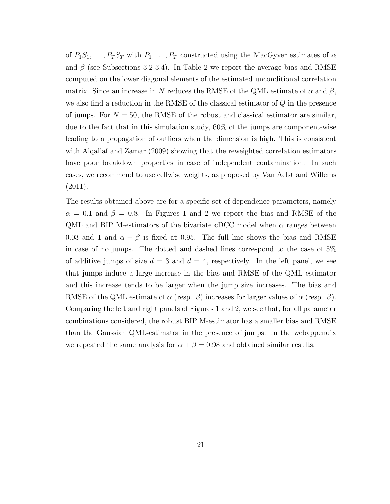of  $P_1 \tilde{S}_1, \ldots, P_T \tilde{S}_T$  with  $P_1, \ldots, P_T$  constructed using the MacGyver estimates of  $\alpha$ and  $\beta$  (see Subsections 3.2-3.4). In Table 2 we report the average bias and RMSE computed on the lower diagonal elements of the estimated unconditional correlation matrix. Since an increase in N reduces the RMSE of the QML estimate of  $\alpha$  and  $\beta$ , we also find a reduction in the RMSE of the classical estimator of  $\overline{Q}$  in the presence of jumps. For  $N = 50$ , the RMSE of the robust and classical estimator are similar, due to the fact that in this simulation study, 60% of the jumps are component-wise leading to a propagation of outliers when the dimension is high. This is consistent with Alqallaf and Zamar (2009) showing that the reweighted correlation estimators have poor breakdown properties in case of independent contamination. In such cases, we recommend to use cellwise weights, as proposed by Van Aelst and Willems (2011).

The results obtained above are for a specific set of dependence parameters, namely  $\alpha = 0.1$  and  $\beta = 0.8$ . In Figures 1 and 2 we report the bias and RMSE of the QML and BIP M-estimators of the bivariate cDCC model when  $\alpha$  ranges between 0.03 and 1 and  $\alpha + \beta$  is fixed at 0.95. The full line shows the bias and RMSE in case of no jumps. The dotted and dashed lines correspond to the case of 5% of additive jumps of size  $d = 3$  and  $d = 4$ , respectively. In the left panel, we see that jumps induce a large increase in the bias and RMSE of the QML estimator and this increase tends to be larger when the jump size increases. The bias and RMSE of the QML estimate of  $\alpha$  (resp.  $\beta$ ) increases for larger values of  $\alpha$  (resp.  $\beta$ ). Comparing the left and right panels of Figures 1 and 2, we see that, for all parameter combinations considered, the robust BIP M-estimator has a smaller bias and RMSE than the Gaussian QML-estimator in the presence of jumps. In the webappendix we repeated the same analysis for  $\alpha + \beta = 0.98$  and obtained similar results.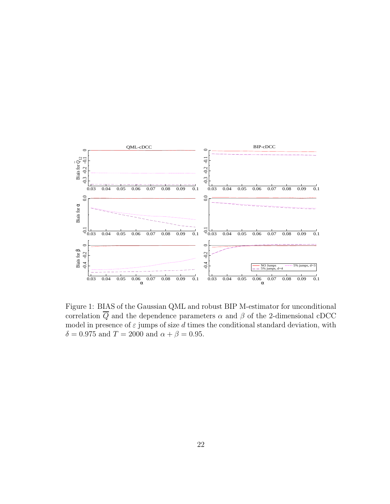

Figure 1: BIAS of the Gaussian QML and robust BIP M-estimator for unconditional correlation  $\overline{Q}$  and the dependence parameters  $\alpha$  and  $\beta$  of the 2-dimensional cDCC model in presence of  $\varepsilon$  jumps of size d times the conditional standard deviation, with  $\delta = 0.975$  and  $T = 2000$  and  $\alpha + \beta = 0.95$ .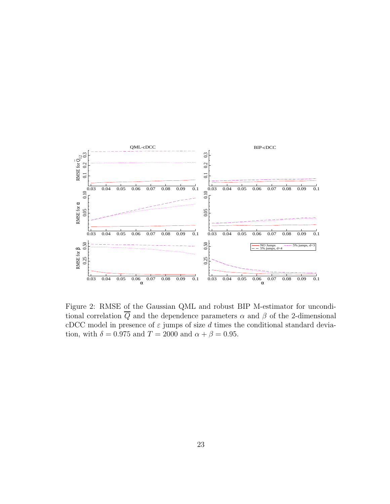

Figure 2: RMSE of the Gaussian QML and robust BIP M-estimator for unconditional correlation  $\overline{Q}$  and the dependence parameters  $\alpha$  and  $\beta$  of the 2-dimensional cDCC model in presence of  $\varepsilon$  jumps of size d times the conditional standard deviation, with  $\delta = 0.975$  and  $T = 2000$  and  $\alpha + \beta = 0.95$ .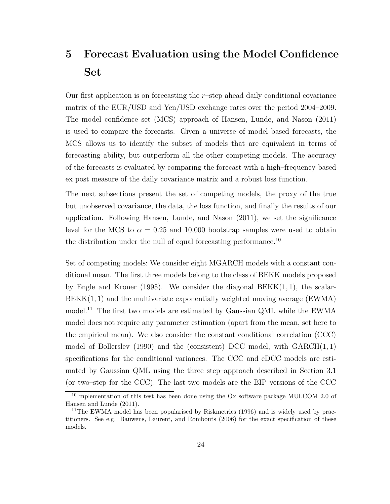## 5 Forecast Evaluation using the Model Confidence Set

Our first application is on forecasting the r–step ahead daily conditional covariance matrix of the EUR/USD and Yen/USD exchange rates over the period 2004–2009. The model confidence set (MCS) approach of Hansen, Lunde, and Nason (2011) is used to compare the forecasts. Given a universe of model based forecasts, the MCS allows us to identify the subset of models that are equivalent in terms of forecasting ability, but outperform all the other competing models. The accuracy of the forecasts is evaluated by comparing the forecast with a high–frequency based ex post measure of the daily covariance matrix and a robust loss function.

The next subsections present the set of competing models, the proxy of the true but unobserved covariance, the data, the loss function, and finally the results of our application. Following Hansen, Lunde, and Nason (2011), we set the significance level for the MCS to  $\alpha = 0.25$  and 10,000 bootstrap samples were used to obtain the distribution under the null of equal forecasting performance.<sup>10</sup>

Set of competing models: We consider eight MGARCH models with a constant conditional mean. The first three models belong to the class of BEKK models proposed by Engle and Kroner (1995). We consider the diagonal  $BEKK(1, 1)$ , the scalar- $BEKK(1, 1)$  and the multivariate exponentially weighted moving average (EWMA) model.<sup>11</sup> The first two models are estimated by Gaussian QML while the EWMA model does not require any parameter estimation (apart from the mean, set here to the empirical mean). We also consider the constant conditional correlation (CCC) model of Bollerslev (1990) and the (consistent) DCC model, with  $GARCH(1, 1)$ specifications for the conditional variances. The CCC and cDCC models are estimated by Gaussian QML using the three step–approach described in Section 3.1 (or two–step for the CCC). The last two models are the BIP versions of the CCC

 $10$ Implementation of this test has been done using the Ox software package MULCOM 2.0 of Hansen and Lunde (2011).

<sup>&</sup>lt;sup>11</sup>The EWMA model has been popularised by Riskmetrics (1996) and is widely used by practitioners. See e.g. Bauwens, Laurent, and Rombouts (2006) for the exact specification of these models.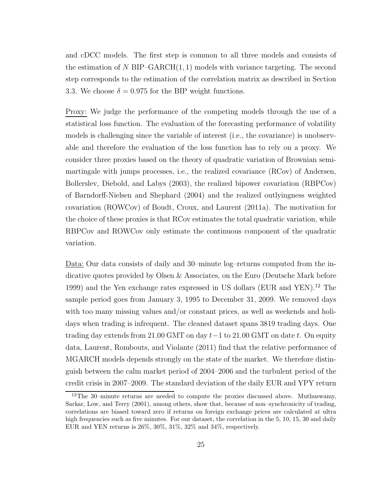and cDCC models. The first step is common to all three models and consists of the estimation of N BIP–GARCH $(1, 1)$  models with variance targeting. The second step corresponds to the estimation of the correlation matrix as described in Section 3.3. We choose  $\delta = 0.975$  for the BIP weight functions.

Proxy: We judge the performance of the competing models through the use of a statistical loss function. The evaluation of the forecasting performance of volatility models is challenging since the variable of interest (i.e., the covariance) is unobservable and therefore the evaluation of the loss function has to rely on a proxy. We consider three proxies based on the theory of quadratic variation of Brownian semimartingale with jumps processes, i.e., the realized covariance (RCov) of Andersen, Bollerslev, Diebold, and Labys (2003), the realized bipower covariation (RBPCov) of Barndorff-Nielsen and Shephard (2004) and the realized outlyingness weighted covariation (ROWCov) of Boudt, Croux, and Laurent (2011a). The motivation for the choice of these proxies is that RCov estimates the total quadratic variation, while RBPCov and ROWCov only estimate the continuous component of the quadratic variation.

Data: Our data consists of daily and 30–minute log–returns computed from the indicative quotes provided by Olsen & Associates, on the Euro (Deutsche Mark before 1999) and the Yen exchange rates expressed in US dollars (EUR and YEN).<sup>12</sup> The sample period goes from January 3, 1995 to December 31, 2009. We removed days with too many missing values and/or constant prices, as well as weekends and holidays when trading is infrequent. The cleaned dataset spans 3819 trading days. One trading day extends from 21.00 GMT on day  $t-1$  to 21.00 GMT on date t. On equity data, Laurent, Rombouts, and Violante (2011) find that the relative performance of MGARCH models depends strongly on the state of the market. We therefore distinguish between the calm market period of 2004–2006 and the turbulent period of the credit crisis in 2007–2009. The standard deviation of the daily EUR and YPY return

<sup>&</sup>lt;sup>12</sup>The 30–minute returns are needed to compute the proxies discussed above. Muthuswamy, Sarkar, Low, and Terry (2001), among others, show that, because of non–synchronicity of trading, correlations are biased toward zero if returns on foreign exchange prices are calculated at ultra high frequencies such as five minutes. For our dataset, the correlation in the 5, 10, 15, 30 and daily EUR and YEN returns is 26%, 30%, 31%, 32% and 34%, respectively.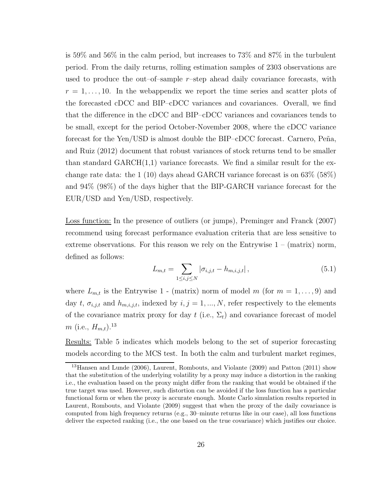is 59% and 56% in the calm period, but increases to 73% and 87% in the turbulent period. From the daily returns, rolling estimation samples of 2303 observations are used to produce the out–of–sample  $r$ –step ahead daily covariance forecasts, with  $r = 1, \ldots, 10$ . In the webappendix we report the time series and scatter plots of the forecasted cDCC and BIP–cDCC variances and covariances. Overall, we find that the difference in the cDCC and BIP–cDCC variances and covariances tends to be small, except for the period October-November 2008, where the cDCC variance forecast for the Yen/USD is almost double the BIP–cDCC forecast. Carnero, Peña, and Ruiz (2012) document that robust variances of stock returns tend to be smaller than standard  $GARCH(1,1)$  variance forecasts. We find a similar result for the exchange rate data: the 1 (10) days ahead GARCH variance forecast is on 63% (58%) and 94% (98%) of the days higher that the BIP-GARCH variance forecast for the EUR/USD and Yen/USD, respectively.

Loss function: In the presence of outliers (or jumps), Preminger and Franck (2007) recommend using forecast performance evaluation criteria that are less sensitive to extreme observations. For this reason we rely on the Entrywise  $1 - (matrix)$  norm, defined as follows:

$$
L_{m,t} = \sum_{1 \le i,j \le N} |\sigma_{i,j,t} - h_{m,i,j,t}|,\tag{5.1}
$$

where  $L_{m,t}$  is the Entrywise 1 - (matrix) norm of model m (for  $m = 1, \ldots, 9$ ) and day t,  $\sigma_{i,j,t}$  and  $h_{m,i,j,t}$ , indexed by  $i, j = 1, ..., N$ , refer respectively to the elements of the covariance matrix proxy for day  $t$  (i.e.,  $\Sigma_t$ ) and covariance forecast of model  $m$  (i.e.,  $H_{m,t}$ ).<sup>13</sup>

Results: Table 5 indicates which models belong to the set of superior forecasting models according to the MCS test. In both the calm and turbulent market regimes,

<sup>13</sup>Hansen and Lunde (2006), Laurent, Rombouts, and Violante (2009) and Patton (2011) show that the substitution of the underlying volatility by a proxy may induce a distortion in the ranking i.e., the evaluation based on the proxy might differ from the ranking that would be obtained if the true target was used. However, such distortion can be avoided if the loss function has a particular functional form or when the proxy is accurate enough. Monte Carlo simulation results reported in Laurent, Rombouts, and Violante (2009) suggest that when the proxy of the daily covariance is computed from high frequency returns (e.g., 30–minute returns like in our case), all loss functions deliver the expected ranking (i.e., the one based on the true covariance) which justifies our choice.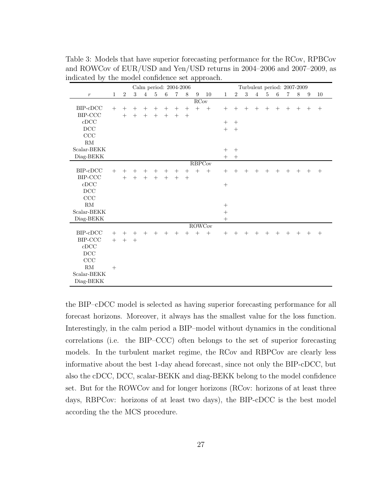|                          | Calm period: 2004-2006 |                |        |                |        |         |                |        |                  |               |              |                |        | Turbulent period: 2007-2009 |        |         |        |        |        |        |
|--------------------------|------------------------|----------------|--------|----------------|--------|---------|----------------|--------|------------------|---------------|--------------|----------------|--------|-----------------------------|--------|---------|--------|--------|--------|--------|
| $\,r\,$                  | $\mathbf{1}$           | $\overline{2}$ | 3      | $\overline{4}$ | 5      | $\,6\,$ | $\overline{7}$ | 8      | 9                | 10            | $\mathbf{1}$ | $\overline{2}$ | 3      | $\overline{4}$              | 5      | $\,6\,$ | 7      | 8      | 9      | 10     |
| <b>RCov</b>              |                        |                |        |                |        |         |                |        |                  |               |              |                |        |                             |        |         |        |        |        |        |
| BIP-cDCC                 | $^{+}$                 | $^{+}$         | $^{+}$ | $^+$           | $^{+}$ | $^{+}$  | $^{+}$         | $^{+}$ | $+$              | $+$           | $^{+}$       | $^{+}$         | $^{+}$ | $^{+}$                      | $^{+}$ | $^{+}$  | $^{+}$ | $^{+}$ | $^{+}$ | $^{+}$ |
| $\operatorname{BIP-CCC}$ |                        | $^{+}$         | $^{+}$ | $^{+}$         | $^{+}$ | $+$     | $+$            | $^{+}$ |                  |               |              |                |        |                             |        |         |        |        |        |        |
| cDCC                     |                        |                |        |                |        |         |                |        |                  |               | $^{+}$       | $^{+}$         |        |                             |        |         |        |        |        |        |
| $_{\mathrm{DCC}}$        |                        |                |        |                |        |         |                |        |                  |               | $^{+}$       | $^{+}$         |        |                             |        |         |        |        |        |        |
| $\rm{CCC}$               |                        |                |        |                |        |         |                |        |                  |               |              |                |        |                             |        |         |        |        |        |        |
| $\mathrm{RM}$            |                        |                |        |                |        |         |                |        |                  |               |              |                |        |                             |        |         |        |        |        |        |
| Scalar-BEKK              |                        |                |        |                |        |         |                |        |                  |               | $^{+}$       | $^{+}$         |        |                             |        |         |        |        |        |        |
| Diag-BEKK                |                        |                |        |                |        |         |                |        |                  |               | $+$          | $^{+}$         |        |                             |        |         |        |        |        |        |
|                          | <b>RBPCov</b>          |                |        |                |        |         |                |        |                  |               |              |                |        |                             |        |         |        |        |        |        |
| BIP-cDCC                 | $^{+}$                 | $^{+}$         |        | $^+$           | $^{+}$ | $^{+}$  | $^{+}$         | $^{+}$ | $\boldsymbol{+}$ | $+$           | $^{+}$       | $^{+}$         | $^{+}$ | $^{+}$                      | $^{+}$ | $^{+}$  | $^{+}$ | $^{+}$ | $^{+}$ | $^{+}$ |
| $\operatorname{BIP-CCC}$ |                        | $^{+}$         | $+$    | $^{+}$         | $^{+}$ | $^{+}$  | $+$            | $^{+}$ |                  |               |              |                |        |                             |        |         |        |        |        |        |
| cDCC                     |                        |                |        |                |        |         |                |        |                  |               | $+$          |                |        |                             |        |         |        |        |        |        |
| DCC                      |                        |                |        |                |        |         |                |        |                  |               |              |                |        |                             |        |         |        |        |        |        |
| CCC                      |                        |                |        |                |        |         |                |        |                  |               |              |                |        |                             |        |         |        |        |        |        |
| RM                       |                        |                |        |                |        |         |                |        |                  |               | $^{+}$       |                |        |                             |        |         |        |        |        |        |
| Scalar-BEKK              |                        |                |        |                |        |         |                |        |                  |               |              |                |        |                             |        |         |        |        |        |        |
| Diag-BEKK                |                        |                |        |                |        |         |                |        |                  |               | $^{+}$       |                |        |                             |        |         |        |        |        |        |
|                          |                        |                |        |                |        |         |                |        |                  | <b>ROWCov</b> |              |                |        |                             |        |         |        |        |        |        |
| BIP-cDCC                 | $^{+}$                 | $^{+}$         | $^{+}$ | $^{+}$         | $^{+}$ | $+$     | $+$            | $^{+}$ | $+$              | $+$           | $^{+}$       | $^{+}$         | $^{+}$ | $+$                         | $^{+}$ | $^{+}$  | $^{+}$ | $^{+}$ | $^{+}$ | $^{+}$ |
| BIP-CCC                  | $^{+}$                 | $^{+}$         | $^{+}$ |                |        |         |                |        |                  |               |              |                |        |                             |        |         |        |        |        |        |
| cDCC                     |                        |                |        |                |        |         |                |        |                  |               |              |                |        |                             |        |         |        |        |        |        |
| DCC                      |                        |                |        |                |        |         |                |        |                  |               |              |                |        |                             |        |         |        |        |        |        |
| CCC                      |                        |                |        |                |        |         |                |        |                  |               |              |                |        |                             |        |         |        |        |        |        |
| RM                       | $^{+}$                 |                |        |                |        |         |                |        |                  |               |              |                |        |                             |        |         |        |        |        |        |
| Scalar-BEKK              |                        |                |        |                |        |         |                |        |                  |               |              |                |        |                             |        |         |        |        |        |        |
| Diag-BEKK                |                        |                |        |                |        |         |                |        |                  |               |              |                |        |                             |        |         |        |        |        |        |

Table 3: Models that have superior forecasting performance for the RCov, RPBCov and ROWCov of EUR/USD and Yen/USD returns in 2004–2006 and 2007–2009, as indicated by the model confidence set approach.

the BIP–cDCC model is selected as having superior forecasting performance for all forecast horizons. Moreover, it always has the smallest value for the loss function. Interestingly, in the calm period a BIP–model without dynamics in the conditional correlations (i.e. the BIP–CCC) often belongs to the set of superior forecasting models. In the turbulent market regime, the RCov and RBPCov are clearly less informative about the best 1-day ahead forecast, since not only the BIP-cDCC, but also the cDCC, DCC, scalar-BEKK and diag-BEKK belong to the model confidence set. But for the ROWCov and for longer horizons (RCov: horizons of at least three days, RBPCov: horizons of at least two days), the BIP-cDCC is the best model according the the MCS procedure.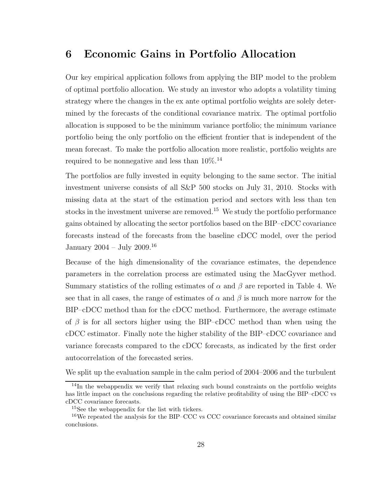### 6 Economic Gains in Portfolio Allocation

Our key empirical application follows from applying the BIP model to the problem of optimal portfolio allocation. We study an investor who adopts a volatility timing strategy where the changes in the ex ante optimal portfolio weights are solely determined by the forecasts of the conditional covariance matrix. The optimal portfolio allocation is supposed to be the minimum variance portfolio; the minimum variance portfolio being the only portfolio on the efficient frontier that is independent of the mean forecast. To make the portfolio allocation more realistic, portfolio weights are required to be nonnegative and less than 10%.<sup>14</sup>

The portfolios are fully invested in equity belonging to the same sector. The initial investment universe consists of all S&P 500 stocks on July 31, 2010. Stocks with missing data at the start of the estimation period and sectors with less than ten stocks in the investment universe are removed.<sup>15</sup> We study the portfolio performance gains obtained by allocating the sector portfolios based on the BIP–cDCC covariance forecasts instead of the forecasts from the baseline cDCC model, over the period January 2004 – July 2009.<sup>16</sup>

Because of the high dimensionality of the covariance estimates, the dependence parameters in the correlation process are estimated using the MacGyver method. Summary statistics of the rolling estimates of  $\alpha$  and  $\beta$  are reported in Table 4. We see that in all cases, the range of estimates of  $\alpha$  and  $\beta$  is much more narrow for the BIP–cDCC method than for the cDCC method. Furthermore, the average estimate of  $\beta$  is for all sectors higher using the BIP–cDCC method than when using the cDCC estimator. Finally note the higher stability of the BIP–cDCC covariance and variance forecasts compared to the cDCC forecasts, as indicated by the first order autocorrelation of the forecasted series.

We split up the evaluation sample in the calm period of 2004–2006 and the turbulent

 $14$ In the webappendix we verify that relaxing such bound constraints on the portfolio weights has little impact on the conclusions regarding the relative profitability of using the BIP–cDCC vs cDCC covariance forecasts.

<sup>15</sup>See the webappendix for the list with tickers.

<sup>&</sup>lt;sup>16</sup>We repeated the analysis for the BIP–CCC vs CCC covariance forecasts and obtained similar conclusions.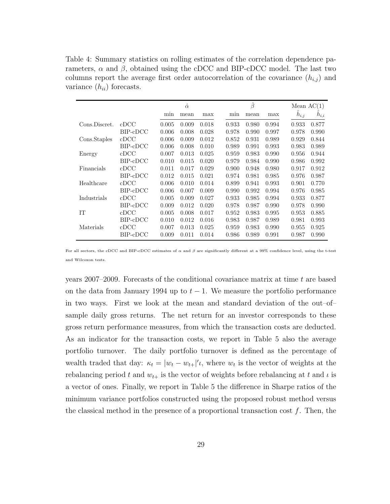Table 4: Summary statistics on rolling estimates of the correlation dependence parameters,  $\alpha$  and  $\beta$ , obtained using the cDCC and BIP-cDCC model. The last two columns report the average first order autocorrelation of the covariance  $(h_{i,j})$  and variance  $(h_{ii})$  forecasts.

|               |               |       | $\hat{\alpha}$ |       |       | $\hat{\beta}$ |       |           | Mean $AC(1)$ |
|---------------|---------------|-------|----------------|-------|-------|---------------|-------|-----------|--------------|
|               |               | min   | mean           | max   | min   | mean          | max   | $h_{i,j}$ | $h_{i,i}$    |
| Cons.Discret. | $_{\rm cDCC}$ | 0.005 | 0.009          | 0.018 | 0.933 | 0.980         | 0.994 | 0.933     | 0.877        |
|               | BIP-cDCC      | 0.006 | 0.008          | 0.028 | 0.978 | 0.990         | 0.997 | 0.978     | 0.990        |
| Cons.Staples  | cDCC          | 0.006 | 0.009          | 0.012 | 0.852 | 0.931         | 0.989 | 0.929     | 0.844        |
|               | BIP-cDCC      | 0.006 | 0.008          | 0.010 | 0.989 | 0.991         | 0.993 | 0.983     | 0.989        |
| Energy        | cDCC          | 0.007 | 0.013          | 0.025 | 0.959 | 0.983         | 0.990 | 0.956     | 0.944        |
|               | BIP-cDCC      | 0.010 | 0.015          | 0.020 | 0.979 | 0.984         | 0.990 | 0.986     | 0.992        |
| Financials    | cDCC          | 0.011 | 0.017          | 0.029 | 0.900 | 0.948         | 0.980 | 0.917     | 0.912        |
|               | BIP-cDCC      | 0.012 | 0.015          | 0.021 | 0.974 | 0.981         | 0.985 | 0.976     | 0.987        |
| Healthcare    | cDCC          | 0.006 | 0.010          | 0.014 | 0.899 | 0.941         | 0.993 | 0.901     | 0.770        |
|               | BIP-cDCC      | 0.006 | 0.007          | 0.009 | 0.990 | 0.992         | 0.994 | 0.976     | 0.985        |
| Industrials   | cDCC          | 0.005 | 0.009          | 0.027 | 0.933 | 0.985         | 0.994 | 0.933     | 0.877        |
|               | BIP-cDCC      | 0.009 | 0.012          | 0.020 | 0.978 | 0.987         | 0.990 | 0.978     | 0.990        |
| IT            | cDCC          | 0.005 | 0.008          | 0.017 | 0.952 | 0.983         | 0.995 | 0.953     | 0.885        |
|               | BIP-cDCC      | 0.010 | 0.012          | 0.016 | 0.983 | 0.987         | 0.989 | 0.981     | 0.993        |
| Materials     | cDCC          | 0.007 | 0.013          | 0.025 | 0.959 | 0.983         | 0.990 | 0.955     | 0.925        |
|               | BIP-cDCC      | 0.009 | 0.011          | 0.014 | 0.986 | 0.989         | 0.991 | 0.987     | 0.990        |

For all sectors, the cDCC and BIP-cDCC estimates of  $\alpha$  and  $\beta$  are significantly different at a 99% confidence level, using the t-test and Wilcoxon tests.

years 2007–2009. Forecasts of the conditional covariance matrix at time  $t$  are based on the data from January 1994 up to  $t - 1$ . We measure the portfolio performance in two ways. First we look at the mean and standard deviation of the out–of– sample daily gross returns. The net return for an investor corresponds to these gross return performance measures, from which the transaction costs are deducted. As an indicator for the transaction costs, we report in Table 5 also the average portfolio turnover. The daily portfolio turnover is defined as the percentage of wealth traded that day:  $\kappa_t = |w_t - w_{t+}|'$ , where  $w_t$  is the vector of weights at the rebalancing period t and  $w_{t+}$  is the vector of weights before rebalancing at t and  $\iota$  is a vector of ones. Finally, we report in Table 5 the difference in Sharpe ratios of the minimum variance portfolios constructed using the proposed robust method versus the classical method in the presence of a proportional transaction cost  $f$ . Then, the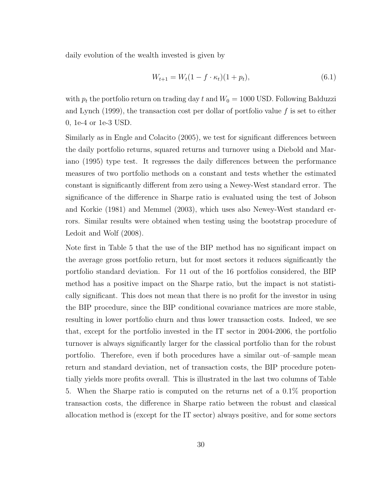daily evolution of the wealth invested is given by

$$
W_{t+1} = W_t (1 - f \cdot \kappa_t)(1 + p_t), \tag{6.1}
$$

with  $p_t$  the portfolio return on trading day t and  $W_0 = 1000$  USD. Following Balduzzi and Lynch (1999), the transaction cost per dollar of portfolio value  $f$  is set to either 0, 1e-4 or 1e-3 USD.

Similarly as in Engle and Colacito (2005), we test for significant differences between the daily portfolio returns, squared returns and turnover using a Diebold and Mariano (1995) type test. It regresses the daily differences between the performance measures of two portfolio methods on a constant and tests whether the estimated constant is significantly different from zero using a Newey-West standard error. The significance of the difference in Sharpe ratio is evaluated using the test of Jobson and Korkie (1981) and Memmel (2003), which uses also Newey-West standard errors. Similar results were obtained when testing using the bootstrap procedure of Ledoit and Wolf (2008).

Note first in Table 5 that the use of the BIP method has no significant impact on the average gross portfolio return, but for most sectors it reduces significantly the portfolio standard deviation. For 11 out of the 16 portfolios considered, the BIP method has a positive impact on the Sharpe ratio, but the impact is not statistically significant. This does not mean that there is no profit for the investor in using the BIP procedure, since the BIP conditional covariance matrices are more stable, resulting in lower portfolio churn and thus lower transaction costs. Indeed, we see that, except for the portfolio invested in the IT sector in 2004-2006, the portfolio turnover is always significantly larger for the classical portfolio than for the robust portfolio. Therefore, even if both procedures have a similar out–of–sample mean return and standard deviation, net of transaction costs, the BIP procedure potentially yields more profits overall. This is illustrated in the last two columns of Table 5. When the Sharpe ratio is computed on the returns net of a 0.1% proportion transaction costs, the difference in Sharpe ratio between the robust and classical allocation method is (except for the IT sector) always positive, and for some sectors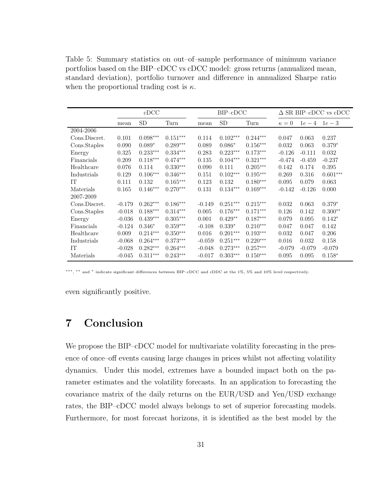Table 5: Summary statistics on out–of–sample performance of minimum variance portfolios based on the BIP–cDCC vs cDCC model: gross returns (annualized mean, standard deviation), portfolio turnover and difference in annualized Sharpe ratio when the proportional trading cost is  $\kappa$ .

|               |          | cDCC            |            |          | $BIP$ - $cDCC$ |            | $\Delta$ SR BIP-cDCC vs cDCC |          |            |  |  |
|---------------|----------|-----------------|------------|----------|----------------|------------|------------------------------|----------|------------|--|--|
|               | mean     | SD <sub>.</sub> | Turn       | mean     | <b>SD</b>      | Turn       | $\kappa=0$                   | $1e-4$   | $1e-3$     |  |  |
| 2004-2006     |          |                 |            |          |                |            |                              |          |            |  |  |
| Cons.Discret. | 0.101    | $0.098***$      | $0.151***$ | 0.114    | $0.102***$     | $0.244***$ | 0.047                        | 0.063    | 0.237      |  |  |
| Cons.Staples  | 0.090    | $0.089*$        | $0.289***$ | 0.089    | $0.086*$       | $0.156***$ | 0.032                        | 0.063    | $0.379*$   |  |  |
| Energy        | 0.325    | $0.233***$      | $0.334***$ | 0.283    | $0.223***$     | $0.173***$ | $-0.126$                     | $-0.111$ | 0.032      |  |  |
| Financials    | 0.209    | $0.118***$      | $0.474***$ | 0.135    | $0.104***$     | $0.321***$ | $-0.474$                     | $-0.459$ | $-0.237$   |  |  |
| Healthcare    | 0.076    | 0.114           | $0.330***$ | 0.090    | 0.111          | $0.205***$ | 0.142                        | 0.174    | 0.395      |  |  |
| Industrials   | 0.129    | $0.106***$      | $0.346***$ | 0.151    | $0.102***$     | $0.195***$ | 0.269                        | 0.316    | $0.601***$ |  |  |
| IT            | 0.111    | 0.132           | $0.165***$ | 0.123    | 0.132          | $0.180***$ | 0.095                        | 0.079    | 0.063      |  |  |
| Materials     | 0.165    | $0.146***$      | $0.270***$ | 0.131    | $0.134***$     | $0.169***$ | $-0.142$                     | $-0.126$ | 0.000      |  |  |
| 2007-2009     |          |                 |            |          |                |            |                              |          |            |  |  |
| Cons.Discret. | $-0.179$ | $0.262***$      | $0.186***$ | $-0.149$ | $0.251***$     | $0.215***$ | 0.032                        | 0.063    | $0.379*$   |  |  |
| Cons.Staples  | $-0.018$ | $0.188***$      | $0.314***$ | 0.005    | $0.176***$     | $0.171***$ | 0.126                        | 0.142    | $0.300**$  |  |  |
| Energy        | $-0.036$ | $0.439***$      | $0.305***$ | 0.001    | $0.429**$      | $0.187***$ | 0.079                        | 0.095    | $0.142*$   |  |  |
| Financials    | $-0.124$ | $0.346*$        | $0.359***$ | $-0.108$ | $0.339*$       | $0.210***$ | 0.047                        | 0.047    | 0.142      |  |  |
| Healthcare    | 0.009    | $0.214***$      | $0.350***$ | 0.016    | $0.201***$     | $0.193***$ | 0.032                        | 0.047    | 0.206      |  |  |
| Industrials   | $-0.068$ | $0.264***$      | $0.373***$ | $-0.059$ | $0.251***$     | $0.220***$ | 0.016                        | 0.032    | 0.158      |  |  |
| IT            | $-0.028$ | $0.282***$      | $0.264***$ | $-0.048$ | $0.273***$     | $0.257***$ | $-0.079$                     | $-0.079$ | $-0.079$   |  |  |
| Materials     | $-0.045$ | $0.311***$      | $0.243***$ | $-0.017$ | $0.303***$     | $0.150***$ | 0.095                        | 0.095    | $0.158*$   |  |  |

∗∗∗, ∗∗ and <sup>∗</sup> indicate significant differences between BIP–cDCC and cDDC at the 1%, 5% and 10% level respectively.

even significantly positive.

## 7 Conclusion

We propose the BIP–cDCC model for multivariate volatility forecasting in the presence of once–off events causing large changes in prices whilst not affecting volatility dynamics. Under this model, extremes have a bounded impact both on the parameter estimates and the volatility forecasts. In an application to forecasting the covariance matrix of the daily returns on the EUR/USD and Yen/USD exchange rates, the BIP–cDCC model always belongs to set of superior forecasting models. Furthermore, for most forecast horizons, it is identified as the best model by the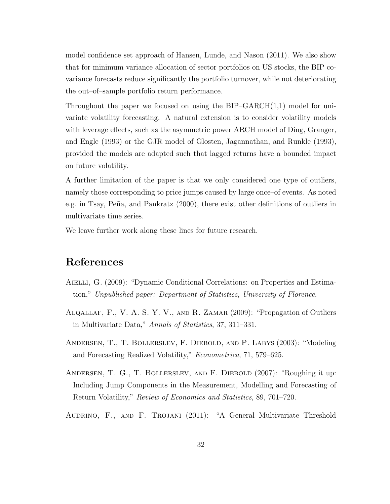model confidence set approach of Hansen, Lunde, and Nason (2011). We also show that for minimum variance allocation of sector portfolios on US stocks, the BIP covariance forecasts reduce significantly the portfolio turnover, while not deteriorating the out–of–sample portfolio return performance.

Throughout the paper we focused on using the  $BIP-GARCH(1,1)$  model for univariate volatility forecasting. A natural extension is to consider volatility models with leverage effects, such as the asymmetric power ARCH model of Ding, Granger, and Engle (1993) or the GJR model of Glosten, Jagannathan, and Runkle (1993), provided the models are adapted such that lagged returns have a bounded impact on future volatility.

A further limitation of the paper is that we only considered one type of outliers, namely those corresponding to price jumps caused by large once–of events. As noted e.g. in Tsay, Peña, and Pankratz (2000), there exist other definitions of outliers in multivariate time series.

We leave further work along these lines for future research.

## References

- AIELLI, G. (2009): "Dynamic Conditional Correlations: on Properties and Estimation," *Unpublished paper: Department of Statistics, University of Florence*.
- Alqallaf, F., V. A. S. Y. V., and R. Zamar (2009): "Propagation of Outliers in Multivariate Data," *Annals of Statistics*, 37, 311–331.
- Andersen, T., T. Bollerslev, F. Diebold, and P. Labys (2003): "Modeling and Forecasting Realized Volatility," *Econometrica*, 71, 579–625.
- Andersen, T. G., T. Bollerslev, and F. Diebold (2007): "Roughing it up: Including Jump Components in the Measurement, Modelling and Forecasting of Return Volatility," *Review of Economics and Statistics*, 89, 701–720.
- Audrino, F., and F. Trojani (2011): "A General Multivariate Threshold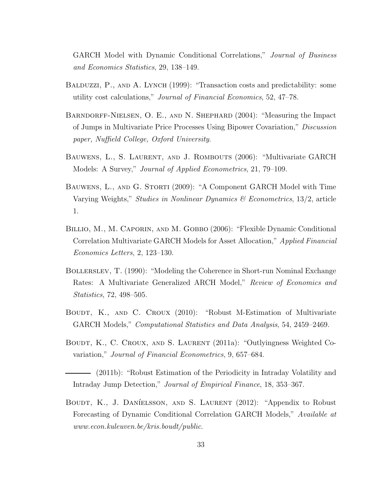GARCH Model with Dynamic Conditional Correlations," *Journal of Business and Economics Statistics*, 29, 138–149.

- BALDUZZI, P., AND A. LYNCH (1999): "Transaction costs and predictability: some utility cost calculations," *Journal of Financial Economics*, 52, 47–78.
- Barndorff-Nielsen, O. E., and N. Shephard (2004): "Measuring the Impact of Jumps in Multivariate Price Processes Using Bipower Covariation," *Discussion paper, Nuffield College, Oxford University*.
- Bauwens, L., S. Laurent, and J. Rombouts (2006): "Multivariate GARCH Models: A Survey," *Journal of Applied Econometrics*, 21, 79–109.
- BAUWENS, L., AND G. STORTI (2009): "A Component GARCH Model with Time Varying Weights," *Studies in Nonlinear Dynamics & Econometrics*, 13/2, article 1.
- BILLIO, M., M. CAPORIN, AND M. GOBBO (2006): "Flexible Dynamic Conditional Correlation Multivariate GARCH Models for Asset Allocation," *Applied Financial Economics Letters*, 2, 123–130.
- Bollerslev, T. (1990): "Modeling the Coherence in Short-run Nominal Exchange Rates: A Multivariate Generalized ARCH Model," *Review of Economics and Statistics*, 72, 498–505.
- BOUDT, K., AND C. CROUX (2010): "Robust M-Estimation of Multivariate GARCH Models," *Computational Statistics and Data Analysis*, 54, 2459–2469.
- BOUDT, K., C. CROUX, AND S. LAURENT (2011a): "Outlyingness Weighted Covariation," *Journal of Financial Econometrics*, 9, 657–684.

(2011b): "Robust Estimation of the Periodicity in Intraday Volatility and Intraday Jump Detection," *Journal of Empirical Finance*, 18, 353–367.

BOUDT, K., J. DANÍELSSON, AND S. LAURENT (2012): "Appendix to Robust Forecasting of Dynamic Conditional Correlation GARCH Models," *Available at www.econ.kuleuven.be/kris.boudt/public*.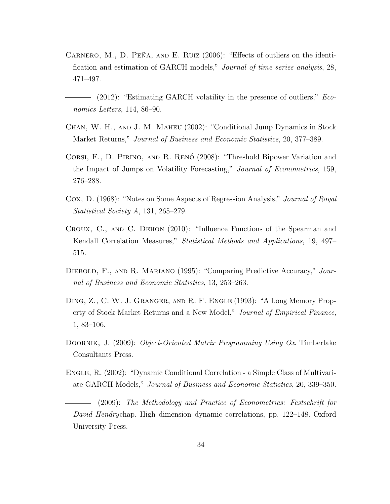- CARNERO, M., D. PEÑA, AND E. RUIZ  $(2006)$ : "Effects of outliers on the identification and estimation of GARCH models," *Journal of time series analysis*, 28, 471–497.
- (2012): "Estimating GARCH volatility in the presence of outliers," *Economics Letters*, 114, 86–90.
- Chan, W. H., and J. M. Maheu (2002): "Conditional Jump Dynamics in Stock Market Returns," *Journal of Business and Economic Statistics*, 20, 377–389.
- CORSI, F., D. PIRINO, AND R. RENÓ (2008): "Threshold Bipower Variation and the Impact of Jumps on Volatility Forecasting," *Journal of Econometrics*, 159, 276–288.
- Cox, D. (1968): "Notes on Some Aspects of Regression Analysis," *Journal of Royal Statistical Society A*, 131, 265–279.
- Croux, C., and C. Dehon (2010): "Influence Functions of the Spearman and Kendall Correlation Measures," *Statistical Methods and Applications*, 19, 497– 515.
- Diebold, F., and R. Mariano (1995): "Comparing Predictive Accuracy," *Journal of Business and Economic Statistics*, 13, 253–263.
- Ding, Z., C. W. J. Granger, and R. F. Engle (1993): "A Long Memory Property of Stock Market Returns and a New Model," *Journal of Empirical Finance*, 1, 83–106.
- Doornik, J. (2009): *Object-Oriented Matrix Programming Using Ox*. Timberlake Consultants Press.
- ENGLE, R. (2002): "Dynamic Conditional Correlation a Simple Class of Multivariate GARCH Models," *Journal of Business and Economic Statistics*, 20, 339–350.

(2009): *The Methodology and Practice of Econometrics: Festschrift for David Hendry*chap. High dimension dynamic correlations, pp. 122–148. Oxford University Press.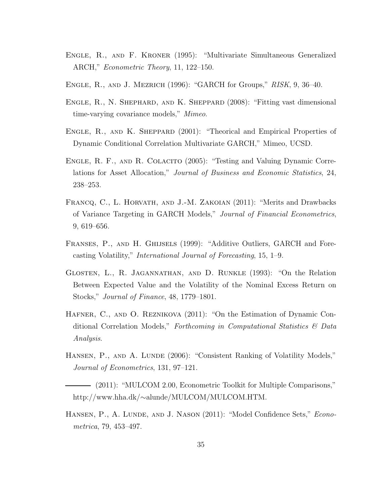- Engle, R., and F. Kroner (1995): "Multivariate Simultaneous Generalized ARCH," *Econometric Theory*, 11, 122–150.
- Engle, R., and J. Mezrich (1996): "GARCH for Groups," *RISK*, 9, 36–40.
- ENGLE, R., N. SHEPHARD, AND K. SHEPPARD (2008): "Fitting vast dimensional time-varying covariance models," *Mimeo*.
- ENGLE, R., AND K. SHEPPARD (2001): "Theorical and Empirical Properties of Dynamic Conditional Correlation Multivariate GARCH," Mimeo, UCSD.
- ENGLE, R. F., AND R. COLACITO (2005): "Testing and Valuing Dynamic Correlations for Asset Allocation," *Journal of Business and Economic Statistics*, 24, 238–253.
- FRANCQ, C., L. HORVATH, AND J.-M. ZAKOIAN (2011): "Merits and Drawbacks of Variance Targeting in GARCH Models," *Journal of Financial Econometrics*, 9, 619–656.
- FRANSES, P., AND H. GHIJSELS (1999): "Additive Outliers, GARCH and Forecasting Volatility," *International Journal of Forecasting*, 15, 1–9.
- Glosten, L., R. Jagannathan, and D. Runkle (1993): "On the Relation Between Expected Value and the Volatility of the Nominal Excess Return on Stocks," *Journal of Finance*, 48, 1779–1801.
- Hafner, C., and O. Reznikova (2011): "On the Estimation of Dynamic Conditional Correlation Models," *Forthcoming in Computational Statistics & Data Analysis*.
- HANSEN, P., AND A. LUNDE (2006): "Consistent Ranking of Volatility Models," *Journal of Econometrics*, 131, 97–121.
- (2011): "MULCOM 2.00, Econometric Toolkit for Multiple Comparisons," http://www.hha.dk/∼alunde/MULCOM/MULCOM.HTM.
- Hansen, P., A. Lunde, and J. Nason (2011): "Model Confidence Sets," *Econometrica*, 79, 453–497.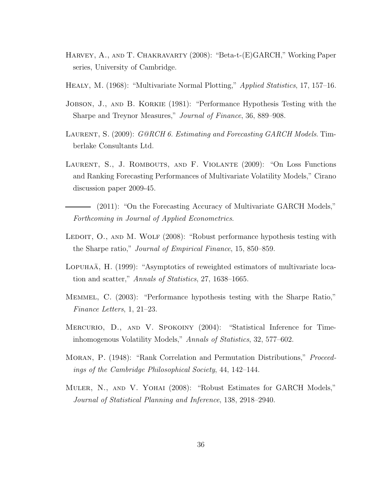- Harvey, A., and T. Chakravarty (2008): "Beta-t-(E)GARCH," Working Paper series, University of Cambridge.
- Healy, M. (1968): "Multivariate Normal Plotting," *Applied Statistics*, 17, 157–16.
- JOBSON, J., AND B. KORKIE (1981): "Performance Hypothesis Testing with the Sharpe and Treynor Measures," *Journal of Finance*, 36, 889–908.
- Laurent, S. (2009): *G@RCH 6. Estimating and Forecasting GARCH Models*. Timberlake Consultants Ltd.
- Laurent, S., J. Rombouts, and F. Violante (2009): "On Loss Functions and Ranking Forecasting Performances of Multivariate Volatility Models," Cirano discussion paper 2009-45.
- (2011): "On the Forecasting Accuracy of Multivariate GARCH Models," *Forthcoming in Journal of Applied Econometrics*.
- LEDOIT, O., AND M. WOLF (2008): "Robust performance hypothesis testing with the Sharpe ratio," *Journal of Empirical Finance*, 15, 850–859.
- LOPUHAA, H. (1999): "Asymptotics of reweighted estimators of multivariate location and scatter," *Annals of Statistics*, 27, 1638–1665.
- Memmel, C. (2003): "Performance hypothesis testing with the Sharpe Ratio," *Finance Letters*, 1, 21–23.
- Mercurio, D., and V. Spokoiny (2004): "Statistical Inference for Timeinhomogenous Volatility Models," *Annals of Statistics*, 32, 577–602.
- Moran, P. (1948): "Rank Correlation and Permutation Distributions," *Proceedings of the Cambridge Philosophical Society*, 44, 142–144.
- Muler, N., and V. Yohai (2008): "Robust Estimates for GARCH Models," *Journal of Statistical Planning and Inference*, 138, 2918–2940.